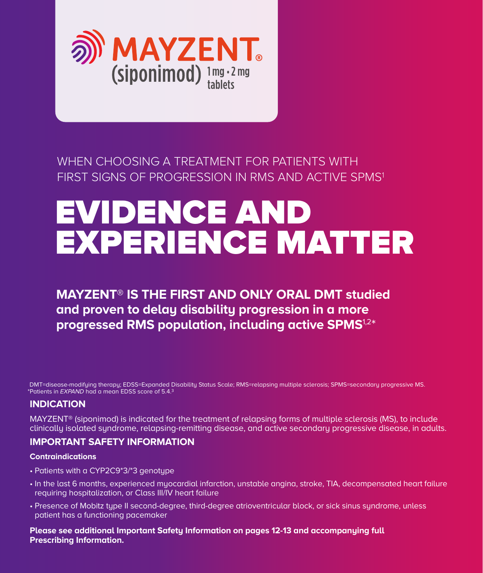

### WHEN CHOOSING A TREATMENT FOR PATIENTS WITH FIRST SIGNS OF PROGRESSION IN RMS AND ACTIVE SPMS<sup>1</sup>

# EVIDENCE AND EXPERIENCE MATTER

### **MAYZENT**® **IS THE FIRST AND ONLY ORAL DMT studied and proven to delay disability progression in a more progressed RMS population, including active SPMS**1,2\*

DMT=disease-modifying therapy; EDSS=Expanded Disability Status Scale; RMS=relapsing multiple sclerosis; SPMS=secondary progressive MS. \* Patients in EXPAND had a mean EDSS score of 5.4.3

#### **INDICATION**

MAYZENT® (siponimod) is indicated for the treatment of relapsing forms of multiple sclerosis (MS), to include clinically isolated syndrome, relapsing-remitting disease, and active secondary progressive disease, in adults.

#### **IMPORTANT SAFETY INFORMATION**

#### **Contraindications**

- Patients with a CYP2C9\*3/\*3 genotype
- In the last 6 months, experienced myocardial infarction, unstable angina, stroke, TIA, decompensated heart failure requiring hospitalization, or Class III/IV heart failure
- Presence of Mobitz type II second-degree, third-degree atrioventricular block, or sick sinus syndrome, unless patient has a functioning pacemaker

**Please see additional Important Safety Information on pages 12-13 and accompanying full Prescribing Information.**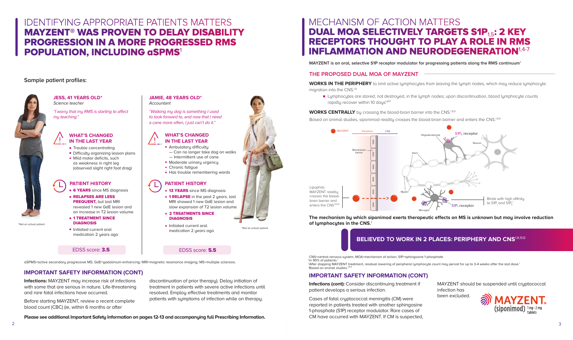### IDENTIFYING APPROPRIATE PATIENTS MATTERS MAYZENT® WAS PROVEN TO DELAY DISABILITY PROGRESSION IN A MORE PROGRESSED RMS POPULATION, INCLUDING aSPMS<sup>1</sup>

#### **Sample patient profiles:**



"I worry that my RMS is starting to affect my teaching."

- Trouble concentrating
- Difficulty organizing lesson plans
- $\blacksquare$  Mild motor deficits, such as weakness in right leg (observed slight right foot drag)

#### **WHAT'S CHANGED IN THE LAST YEAR**

- **6 YEARS** since MS diagnosis
- **RELAPSES ARE LESS FREQUENT, but last MRI** revealed 1 new GdE lesion and an increase in T2 lesion volume
- **= 1 TREATMENT SINCE** DIAGNOSIS
- Initiated current oral medication 2 years ago

#### EDSS score: **3.5** EDSS score: **5.5**

\*Not an actual patient.

 $\overline{2}$ 

\*Not an actual patient.

- **E** 2 TREATMENTS SINCE DIAGNOSIS
- **Initiated current oral** medication 2 years ago

#### **JESS, 41 YEARS OLD\*** Science teacher

### **PATIENT HISTORY**

- **13 YEARS** since MS diagnosis
- **1 RELAPSE** in the past 2 years, last MRI showed 1 new GdE lesion and slow expansion of T2 lesion volume

#### **JAMIE, 48 YEARS OLD\* Accountant**

"Walking my dog is something I used to look forward to, and now that I need a cane more often, I just can't do it."

#### **WHAT'S CHANGED IN THE LAST YEAR**

- $\blacksquare$  Ambulatory difficulty
- Can no longer take dog on walks — Intermittent use of cane
- **Moderate urinary urgency**
- **Chronic fatigue**
- Has trouble remembering words

### **PATIENT HISTORY**

aSPMS=active secondary progressive MS; GdE=gadolinium-enhancing; MRI=magnetic resonance imaging; MS=multiple sclerosis.

#### **IMPORTANT SAFETY INFORMATION (CONT)**

**Infections:** MAYZENT may increase risk of infections with some that are serious in nature. Life-threatening and rare fatal infections have occurred.

Before starting MAYZENT, review a recent complete blood count (CBC) (ie, within 6 months or after

discontinuation of prior therapy). Delay initiation of treatment in patients with severe active infections until resolved. Employ effective treatments and monitor patients with symptoms of infection while on therapy.

## MECHANISM OF ACTION MATTERS DUAL MOA SELECTIVELY TARGETS S1P<sub>1.5</sub>: 2 KEY RECEPTORS THOUGHT TO PLAY A ROLE IN RMS INFLAMMATION AND NEURODEGENERATION<sup>1,4-7</sup>

**Please see additional Important Safety Information on pages 12-13 and accompanying full Prescribing Information.**

#### **THE PROPOSED DUAL MOA OF MAYZENT**

**WORKS IN THE PERIPHERY** to limit active lymphocytes from leaving the lymph nodes, which may reduce lymphocyte migration into the CNS.<sup>1,8</sup>

**Lymphocytes are stored, not destroyed, in the lymph nodes; upon discontinuation, blood lymphocyte counts** rapidly recover within 10 days<sup>1,8\*†</sup>

**WORKS CENTRALLY** by crossing the blood-brain barrier into the CNS.<sup>1,8,9</sup>

Based on animal studies, siponimod readily crosses the blood-brain barrier and enters the CNS.<sup>18,9</sup>

**MAYZENT is an oral, selective S1P receptor modulator for progressing patients along the RMS continuum**<sup>1</sup>

### **IMPORTANT SAFETY INFORMATION (CONT)**

**Infections (cont):** Consider discontinuing treatment if patient develops a serious infection.



Cases of fatal cryptococcal meningitis (CM) were reported in patients treated with another sphingosine 1-phosphate (S1P) receptor modulator. Rare cases of CM have occurred with MAYZENT. If CM is suspected,

- 
- 
- 

 ‡Based on animal studies.1,8,9 †After stopping MAYZENT treatment, residual lowering of peripheral lymphocyte count may persist for up to 3-4 weeks after the last dose.1

> MAYZENT should be suspended until cryptococcal infection has been excluded.



CNS=central nervous system; MOA=mechanism of action; S1P=sphingosine 1-phosphate. \*In 90% of patients.1

**The mechanism by which siponimod exerts therapeutic effects on MS is unknown but may involve reduction of lymphocytes in the CNS.**<sup>1</sup>

### **BELIEVED TO WORK IN 2 PLACES: PERIPHERY AND CNS<sup>1,8,9,12</sup>**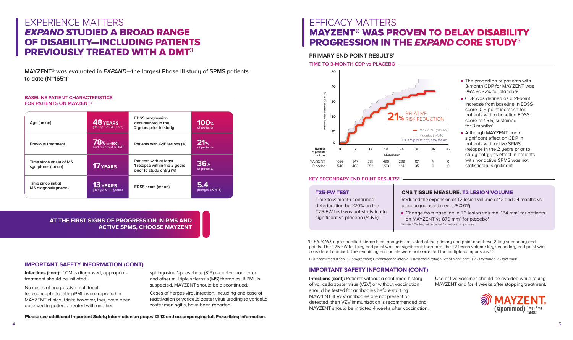#### MAYZENT in clinical trials. If patients develop any unexpected neurological or psychiatric symptoms, a prompt evaluation showled. If  $\begin{bmatrix} \bullet & \bullet & \bullet \\ \bullet & \bullet & \bullet \end{bmatrix}$  can the discontinued. The discontinued be discontinued be discontinued. The discontinued be discontinued by discontinued. The discontinued be discontinued by discontin

CDP=confirmed disability progression; Cl=confidence interval; HR=hazard ratio; NS=not significant; T25-FW=timed 25-foot walk. system, and therefore, caution should be applied 3-4 weeks after the last dose of MAYZENT.

### **IMPORTANT SAFETY INFORMATION (CONT) IMPORTANT SAFETY INFORMATION (CONT)**

**Infections (cont):** If CM is diganosed, appropriate treatment should be initiated.

Time to 3-month confirmed<br> **Reduced the expansion of T2 lesion volume at 12 and 24 months vs**<br> **Reduced the expansion of T2 lesion volume at 12 and 24 months vs** placebo (adjusted mean; P<0.01†)

detenboliton by 220% on the the half-life placebo (adjusted medit, the stort)<br>T25-FW test was not statistically change from baseline in T2 lesion volume: 184 mm<sup>3</sup> for patients Initiating treatment with MAYZENT after treatment with alemtuzumab is not recommended. †Nominal P value, not corrected for multiple comparisons. on MAYZENT vs 879 mm<sup>3</sup> for placebo<sup>1</sup>

points. The T25-FW test key end point was not significant; therefore, the T2 lesion volume key secondary end point was considered nominal. The remaining end points were not corrected for multiple comparisons.<sup>13</sup> \*In EXPAND, a prespecified hierarchical analysis consisted of the primary end point and these 2 key secondary end

After stopping MAYZENT therapy, since the blood for up to 10 days. Starting other the blood for up to 10 days. Starting this starting this starting of up to 10 days. Starting this starting therapies during this starting t

Infections (cont): Patients without a confirmed history Use of live vaccines should be avoided while taking of varicella zoster virus (VZV) or without vaccination MAYZENT and for 4 weeks after stopping treat should be tested for antibodies before starting MAYZENT. If VZV antibodies are not present or detected, then VZV immunization is recommended and MAYZENT should be initiated 4 weeks after vaccination.

 $\Delta$ 

- The proportion of patients with 3-month CDP for MAYZENT was
- score (0.5-point increase for patients with a baseline EDSS for 3 months<sup>1</sup>
- Although MAYZENT had a significant effect on CDP in study entry), its effect in patients statistically significant<sup>1</sup>



#### **POSTERIOR REVERSIBLE AND POINT RESULTS\* Rate cases of PRESS have been reported in patients receiving reported in patients receiving receiving and patients receiving receiving receiving receiving receiving receiving rece** a sphing of phosphate (S1P) receptor modulation. Such events have not been reported for patients treated with

**AT THE FIRST SIGNS OF PROGRESSION IN RMS AND ACTIVE SPMS, CHOOSE MAYZENT**

#### **BASELINE PATIENT CHARACTERISTICS FOR PATIENTS ON MAYZENT**<sup>3</sup>

### EXPERIENCE MATTERS EXPAND STUDIED A BROAD RANGE OF DISABILITY—INCLUDING PATIENTS PREVIOUSLY TREATED WITH A DMT<sup>3</sup>

**MAYZENT® was evaluated in EXPAND—the largest Phase III study of SPMS patients to date (N=1651)**<sup>13</sup>

| Age (mean)                                | 48 YEARS<br>(Range: 21-61 years)       | <b>EDSS</b> progression<br>documented in the<br>2 years prior to study             | <b>100%</b><br>of patients |
|-------------------------------------------|----------------------------------------|------------------------------------------------------------------------------------|----------------------------|
| <b>Previous treatment</b>                 | $78%$ (n=860)<br>had received a DMT    | Patients with GdE lesions (%)                                                      | 21%<br>of patients         |
| Time since onset of MS<br>symptoms (mean) | <b>17 YEARS</b>                        | Patients with at least<br>1 relapse within the 2 years<br>prior to study entry (%) | 36%<br>of patients         |
| Time since initial<br>MS diagnosis (mean) | <b>13 YEARS</b><br>(Range: 0-44 years) | <b>EDSS</b> score (mean)                                                           | 5.4<br>(Range: 3.0-6.5)    |

#### **IMPORTANT SAFETY INFORMATION (CONT)**

No cases of progressive multifocal leukoencephalopathy (PML) were reported in MAYZENT clinical trials; however, they have been observed in patients treated with another

sphingosine 1-phosphate (S1P) receptor modulator and other multiple sclerosis (MS) therapies. If PML is suspected, MAYZENT should be discontinued.

Cases of herpes viral infection, including one case of reactivation of varicella zoster virus leading to varicella zoster meningitis, have been reported.

**Please see additional Important Safety Information on pages 12-13 and accompanying full Prescribing Information.**

### **EFFICACY MATTERS**  $\mathbf{r}$  and  $\mathbf{r}$  as an arrhythmic drugs in  $\mathbf{r}$  and  $\mathbf{r}$  and  $\mathbf{r}$  and  $\mathbf{r}$ MAYZENT® WAS PROVEN TO DELAY DISABILITY PROGRESSION IN THE *EXPAND* CORE STUDY<sup>3</sup>

PRIMARY END POINT RESULTS<sup>1</sup>

**LIME TO 3-MONTH CDP vs PLACEBO <u>and the starting transaction of the starting transaction of the starting transaction of the starting transaction of the starting transaction of the starting transaction of the starting of**</u>

#### **T25-FW TEST**

T25-FW test was not statistically  $\begin{bmatrix} 0 & 1001 \end{bmatrix}$ Time to 3-month confirmed deterioration by ≥20% on the significant vs placebo  $(P=NS)^1$ 

> Use of live vaccines should be avoided while taking MAYZENT and for 4 weeks after stopping treatment.

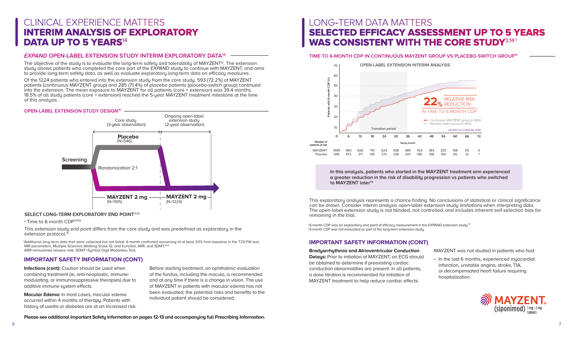## LONG-TERM DATA MATTERS SELECTED EFFICACY ASSESSMENT UP TO 5 YEARS WAS CONSISTENT WITH THE CORE STUDY<sup>3,14</sup><sup>#</sup>

#### **Bradyarrhythmia and Atrioventricular Conduction**

**Delays:** Prior to initiation of MAYZENT, an ECG should be obtained to determine if preexisting cardiac conduction abnormalities are present. In all patients, a dose titration is recommended for initiation of MAYZENT treatment to help reduce cardiac effects.

<sup>+</sup>6-month CDP was an exploratory end point of efficacy measurement in the EXPAND extension study.<sup>15</sup> ‡3-month CDP was not evaluated as part of the long-term extension study.

MAYZENT was not studied in patients who had:



• In the last 6 months, experienced myocardial infarction, unstable angina, stroke, TIA, or decompensated heart failure requiring hospitalization

#### **TIME TO 6-MONTH CDP IN CONTINUOUS MAYZENT GROUP VS PLACEBO-SWITCH GROUP14**

This exploratory analysis represents a chance finding. No conclusions of statistical or clinical significance can be drawn. Consider interim analysis open-label extension study limitations when interpreting data. The open-label extension study is not blinded, not controlled, and includes inherent self-selection bias for remaining in the trial.



|   | <b>RELATIVE RISK</b><br><b>REDUCTION</b>       |    |    |
|---|------------------------------------------------|----|----|
|   | 6-MONTH CDP                                    |    |    |
|   | s MAYZENT group (n=824)<br>witch group (n=400) |    |    |
|   | HR (95% CI): 0.78 (0.66, 0.92)                 |    |    |
| ı | 60                                             | 66 | 72 |
| 3 | 158                                            | 55 | 5  |

 $12$ 

**Infections (cont):** Caution should be used when combining treatment (ie, anti-neoplastic, immunemodulating, or immunosuppressive therapies) due to additive immune system effects.

65

1

## CLINICAL EXPERIENCE MATTERS INTERIM ANALYSIS OF EXPLORATORY DATA UP TO 5 YEARS<sup>14</sup>

#### **IMPORTANT SAFETY INFORMATION (CONT)**

**In this analysis, patients who started in the MAYZENT treatment arm experienced a greater reduction in the risk of disability progression vs patients who switched to MAYZENT later14**

\*Additional long-term data that were collected but not listed: 6-month confirmed worsening of at least 20% from baseline in the T25-FW test, MRI parameters, Multiple Sclerosis Walking Scale-12, and EuroQol, ARR, and SDMT.<sup>14,15</sup> ARR=annualized relapse rate; SDMT=Symbol Digit Modalities Test.

**Please see additional Important Safety Information on pages 12-13 and accompanying full Prescribing Information.**

**Macular Edema:** In most cases, macular edema occurred within 4 months of therapy. Patients with history of uveitis or diabetes are at an increased risk.

Before starting treatment, an ophthalmic evaluation of the fundus, including the macula, is recommended and at any time if there is a change in vision. The use of MAYZENT in patients with macular edema has not been evaluated; the potential risks and benefits to the individual patient should be considered.

Of the 1224 patients who entered into the extension study from the core study, 593 (72.2%) of MAYZENT patients (continuous MAYZENT group) and 285 (71.4%) of placebo patients (placebo-switch group) continued into the extension. The mean exposure to MAYZENT for all patients (core + extension) was 39.4 months. 18.5% of all study patients (core + extension) reached the 5-year MAYZENT treatment milestone at the time of this analysis.

#### **EXPAND OPEN-LABEL EXTENSION STUDY INTERIM EXPLORATORY DATA14**

The objective of the study is to evaluate the long-term safety and tolerability of MAYZENT®. The extension study allows patients who completed the core part of the EXPAND study to continue with MAYZENT, and aims to provide long-term safety data, as well as evaluate exploratory long-term data on efficacy measures.

#### **IMPORTANT SAFETY INFORMATION (CONT)**



#### **OPEN-LABEL EXTENSION STUDY DESIGN14**

#### **SELECT LONG-TERM EXPLORATORY END POINT**14,15

**Time to 6-month CDP<sup>14,15\*</sup>** 

This extension study end point differs from the core study and was predefined as exploratory in the extension protocol.<sup>15</sup>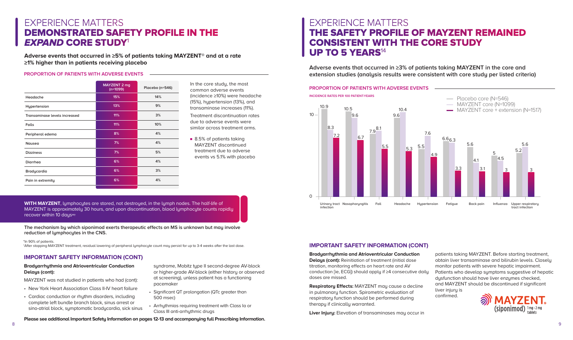#### **IMPORTANT SAFETY INFORMATION (CONT)**



### EXPERIENCE MATTERS THE SAFETY PROFILE OF MAYZENT REMAINED CONSISTENT WITH THE CORE STUDY UP TO 5 YEARS<sup>14</sup>

#### **PROPORTION OF PATIENTS WITH ADVERSE EVENTS**

patients taking MAYZENT. Before starting treatment, obtain liver transaminase and bilirubin levels. Closely monitor patients with severe hepatic impairment. Patients who develop symptoms suggestive of hepatic dysfunction should have liver enzymes checked, and MAYZENT should be discontinued if significant liver injury is confirmed.

**Adverse events that occurred in ≥3% of patients taking MAYZENT in the core and extension studies (analysis results were consistent with core study per listed criteria)**

**Bradyarrhythmia and Atrioventricular Conduction Delays (cont):** Reinitiation of treatment (initial dose titration, monitoring effects on heart rate and AV conduction [ie, ECG]) should apply if ≥4 consecutive daily doses are missed.

**Respiratory Effects:** MAYZENT may cause a decline in pulmonary function. Spirometric evaluation of respiratory function should be performed during therapy if clinically warranted.

**Liver Injury:** Elevation of transaminases may occur in

■ 8.5% of patients taking MAYZENT discontinued treatment due to adverse events vs 5.1% with placebo **INCIDENCE RATES PER 100 PATIENT-YEARS**



**Please see additional Important Safety Information on pages 12-13 and accompanying full Prescribing Information.**

### **IMPORTANT SAFETY INFORMATION (CONT)**

|                               | MAYZENT 2 mg<br>$(n=1099)$ | Placebo (n=546) |
|-------------------------------|----------------------------|-----------------|
| Headache                      | 15%                        | 14%             |
| Hypertension                  | 13%                        | 9%              |
| Transaminase levels increased | 11%                        | 3%              |
| Falls                         | 11%                        | 10%             |
| Peripheral edema              | 8%                         | 4%              |
| <b>Nausea</b>                 | 7%                         | 4%              |
| <b>Dizziness</b>              | 7%                         | 5%              |
| <b>Diarrhea</b>               | 6%                         | 4%              |
| <b>Bradycardia</b>            | 6%                         | 3%              |
| Pain in extremity             | 6%                         | 4%              |
|                               |                            |                 |

#### **PROPORTION OF PATIENTS WITH ADVERSE EVENTS**

In the core study, the most common adverse events (incidence ≥10%) were headache (15%), hypertension (13%), and transaminase increases (11%).

Treatment discontinuation rates due to adverse events were similar across treatment arms.

## EXPERIENCE MATTERS DEMONSTRATED SAFETY PROFILE IN THE EXPAND CORE STUDY<sup>1</sup>

**Adverse events that occurred in ≥5% of patients taking MAYZENT® and at a rate ≥1% higher than in patients receiving placebo**

#### **Bradyarrhythmia and Atrioventricular Conduction Delays (cont):**

MAYZENT was not studied in patients who had (cont):

- New York Heart Association Class II-IV heart failure
- Cardiac conduction or rhythm disorders, including complete left bundle branch block, sinus arrest or sino-atrial block, symptomatic bradycardia, sick sinus
- syndrome, Mobitz type II second-degree AV-block or higher-grade AV-block (either history or observed at screening), unless patient has a functioning pacemaker
- Significant QT prolongation (QTc greater than 500 msec)
- Arrhythmias requiring treatment with Class Ia or Class III anti-arrhythmic drugs

**WITH MAYZENT**, lymphocytes are stored, not destroyed, in the lymph nodes. The half-life of MAYZENT is approximately 30 hours, and upon discontinuation, blood lymphocyte counts rapidly recover within 10 days\*†

**The mechanism by which siponimod exerts therapeutic effects on MS is unknown but may involve reduction of lymphocytes in the CNS.**

\* In 90% of patients.

†After stopping MAYZENT treatment, residual lowering of peripheral lymphocyte count may persist for up to 3-4 weeks after the last dose.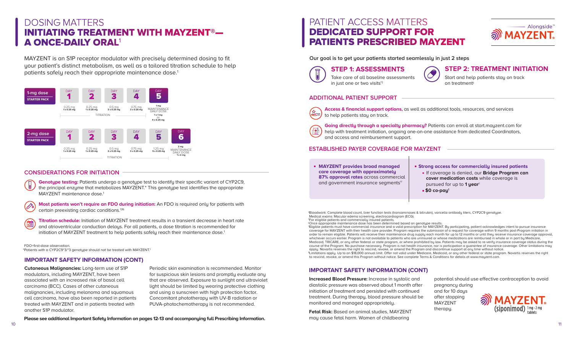**Our goal is to get your patients started seamlessly in just 2 steps**

#### **IMPORTANT SAFETY INFORMATION (CONT)**

## PATIENT ACCESS MATTERS DEDICATED SUPPORT FOR PATIENTS PRESCRIBED MAYZENT

### **STEP 1: ASSESSMENTS STEP 2: TREATMENT INITIATION**

#### **ADDITIONAL PATIENT SUPPORT**

Take care of all baseline assessments in just one or two visits<sup>†‡</sup>

**MAYZENT provides broad managed care coverage with approximately 87% approval rates** across commercial and government insurance segments<sup>17</sup>

®Once appropriate maintenance dose has been determined based on genotype results.<br>"Eligible patients must have commercial insurance and a valid prescription for MAYZENT. By participating, patient acknowledges intent to pur coverage for MAYZENT with their health care provider. Program requires the submission of a request for coverage within 9 months post-Program initiation in order to remain eligible. Patients will receive their maintenance drug supply each month for up to 12 months or until they receive insurance coverage approval, whichever occurs earlier. Program is not available to patients who are uninsured or whose medications are reimbursed in whole or in part by Medicare, Medicaid, TRICARE, or any other federal or state program, or where prohibited by law. Patients may be asked to re-verify insurance coverage status during the course of the Program. No purchase necessary. Program is not health insurance, nor is participation a guarantee of insurance coverage. Other limitations may<br>apply. Novartis reserves the right to rescind, revoke, or amend t "Limitations apply. Up to an \$18,000 annual limit. Offer not valid under Medicare, Medicaid, or any other federal or state program. Novartis reserves the right to rescind, revoke, or amend this Program without notice. See complete Terms & Conditions for details at www.mayzent.com. ‡ For eligible patients and commercially insured patients.

**Access & financial support options,** as well as additional tools, resources, and services 经一 to help patients stay on track.

**Going directly through a specialty pharmacy?** Patients can enroll at start.mayzent.com for help with treatment initiation, ongoing one-on-one assistance from dedicated Coordinators, and access and reimbursement support.

Start and help patients stay on track on treatment§

 **Titration schedule:** Initiation of MAYZENT treatment results in a transient decrease in heart rate and atrioventricular conduction delays. For all patients, a dose titration is recommended for initiation of MAYZENT treatment to help patients safely reach their maintenance dose.<sup>1</sup>

#### **ESTABLISHED PAYER COVERAGE FOR MAYZENT**

**Strong access for commercially insured patients If coverage is denied, our Bridge Program can cover medication costs** while coverage is pursued for up to **1 year**||

FDO=first-dose observation \*Patients with a CYP2C9\*3/\*3 genotype should not be treated with MAYZENT.1

> **Increased Blood Pressure:** Increase in systolic and diastolic pressure was observed about 1 month after initiation of treatment and persisted with continued treatment. During therapy, blood pressure should be monitored and managed appropriately.

**Fetal Risk:** Based on animal studies, MAYZENT may cause fetal harm. Women of childbearing

- - **\$0 co-pay**¶
- † Bloodwork: Complete blood count, liver function tests (transaminases & bilirubin), varicella antibody titers, CYP2C9 genotype. Medical exams: Macular edema screening, electrocardiogram (ECG).

potential should use effective contraception to avoid pregnancy during and for 10 days after stopping

MAYZENT therapy.





**Please see additional Important Safety Information on pages 12-13 and accompanying full Prescribing Information.**

#### **IMPORTANT SAFETY INFORMATION (CONT)**

 **Most patients won't require an FDO during initiation:** An FDO is required only for patients with certain preexisting cardiac conditions.1,16

#### **CONSIDERATIONS FOR INITIATION**

Genotype testing: Patients undergo a genotype test to identify their specific variant of CYP2C9, the principal enzyme that metabolizes MAYZENT.\* This genotype test identifies the appropriate MAYZENT maintenance dose.<sup>1</sup>

## DOSING MATTERS INITIATING TREATMENT WITH MAYZENT®— A ONCE-DAILY ORAL<sup>1</sup>

MAYZENT is an S1P receptor modulator with precisely determined dosing to fit your patient's distinct metabolism, as well as a tailored titration schedule to help patients safely reach their appropriate maintenance dose.<sup>1</sup>

**Cutaneous Malignancies:** Long-term use of S1P modulators, including MAYZENT, have been associated with an increased risk of basal cell carcinoma (BCC). Cases of other cutaneous malignancies, including melanoma and squamous cell carcinoma, have also been reported in patients treated with MAYZENT and in patients treated with another S1P modulator.

Periodic skin examination is recommended. Monitor for suspicious skin lesions and promptly evaluate any that are observed. Exposure to sunlight and ultraviolet light should be limited by wearing protective clothing and using a sunscreen with high protection factor. Concomitant phototherapy with UV-B radiation or PUVA-photochemotherapy is not recommended.

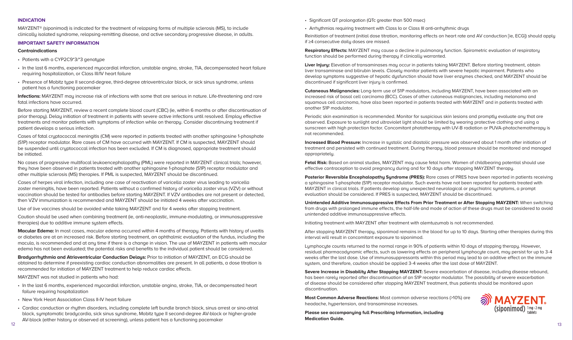**INDICATION**<br>MAYZENT® (siponimod) is indicated for the treatment of relapsing forms of multiple sclerosis (MS), to include MAYZEN I ® (siponimod) is indicated for the treatment of relapsing forms of multiple sclerosis (MS), to include<br>clinically isolated syndrome, relapsing-remitting disease, and active secondary progressive disease, in adults

### **IMPORTANT SAFETY INFORMATION**

- Significant QT prolongation (QTc greater than 500 msec)
- Arrhythmias requiring treatment with Class Ia or Class III anti-arrhythmic drugs

**Liver Injury:** Elevation of transaminases may occur in patients taking MAYZENT. Before starting treatment, obtain liver transaminase and bilirubin levels. Closely monitor patients with severe hepatic impairment. Patients who develop symptoms suggestive of hepatic dysfunction should have liver enzymes checked, and MAYZENT should be discontinued if significant liver injury is confirmed.

**ACTIVE SPMS, CHOOSE MAYZENT Macular Edema:** In most cases, macular edema occurred within 4 months of therapy. Patients with history of uveitis or diabetes are at an increased risk. Before starting treatment, an ophthalmic evaluation of the fundus, including the macula, is recommended and at any time if there is a change in vision. The use of MAYZENT in patients with macular edema has not been evaluated; the potential risks and benefits to the individual patient should be considered.

#### PREVIOUSLY TREATED WITH A DISTURBANCE OF THE VIOLENCE OF THE VIOLENCE OF THE VIOLENCE OF THE VIOLENCE OF THE V<br>THE VIOLENCE OF THE VIOLENCE OF THE VIOLENCE OF THE VIOLENCE OF THE VIOLENCE OF THE VIOLENCE OF THE VIOLENCE O **Contraindications**

- Patients with a CYP2C9\*3/\*3 genotype
- marc tast of months, experienced ingocaratic infarction, anstable drigina, stroke, TIA, decompensated near<br>requiring hospitalization, or Class III/IV heart failure • In the last 6 months, experienced myocardial infarction, unstable angina, stroke, TIA, decompensated heart failure
- **to date (N=1651)**<sup>13</sup> Presence of Mobitz type II second-degree, third-degree atrioventricular block, or sick sinus syndrome, unless patient has a functioning pacemaker

**Infections:** MAYZENT may increase risk of infections with some that are serious in nature. Life-threatening and rare fatal infections have occurred.

**EXECUTE:**  $\frac{1}{2}$   $\frac{1}{2}$   $\frac{1}{2}$  and monitor patients with symptoms of infection while on therapy. Consider discontinuing treatment if prior therapy). Delay initiation of treatment in patients with severe active infections until resolved. Employ effective  $\mathbf{R}$ Before starting MAYZENT, review a recent complete blood count (CBC) (ie, within 6 months or after discontinuation of patient develops a serious infection.

**(S1P)** receptor modulator. Rare cases of CM have occurred with MAYZENT. If CM is suspected, MAYZENT should be suspended until cryptococcal infection has been excluded. If CM is diagnosed, appropriate treatment should Cases of fatal cryptococcal meningitis (CM) were reported in patients treated with another sphingosine 1-phosphate be initiated.

Reinitiation of treatment (initial dose titration, monitoring effects on heart rate and AV conduction [ie, ECG]) should apply if ≥4 consecutive daily doses are missed.

No cases of progressive multifocal leukoencephalopathy (PML) were reported in MAYZENT clinical trials; however, **1 relapse within the 2 years**  no cases of progressive multifocal leukoencephalopathy (PML) were reported in MAYZENT clinical trials; noweve<br>they have been observed in patients treated with another sphingosine 1-phosphate <mark>(S1P)</mark> receptor modulator and other multiple sclerosis (MS) therapies. If PML is suspected, MAYZENT should be discontinued.

**Respiratory Effects:** MAYZENT may cause a decline in pulmonary function. Spirometric evaluation of respiratory function should be performed during therapy if clinically warranted.

Cases of herpes viral infection, including one case of reactivation of varicella zoster virus leading to varicella<br>zoster meningitis, have been reported. Patients without a confirmed history of varicella zoster virus <mark>(VZV</mark> **5.4 Time since initial**  Cases of herpes viral infection, including one case of reactivation of varicella zoster virus leading to varicella **INDICATION**<br>
MAYZENT® (s<br>
clinically isol<br> **IMPORTANT**<br>
Contraindice<br>
• Patients wi<br>
• In the last (<br>
requiring h<br>
• Presence c<br>
patient has<br> **Infections:** M<br>
fatal infections: M<br>
fatal infections: M<br>
fatal infections: M<br> vaccination should be tested for antibodies before starting MAYZENT. If VZV antibodies are not present or detected, then VZV immunization is recommended and MAYZENT should be initiated 4 weeks after vaccination.

obtained to determine if preexisting cardiac conduction abnormalities are present. In all patients, a dose titration is recommended for initiation of MAYZENT treatment to help reduce cardiac effects.<br>  $\mathbf{S}$  is the notation of  $\mathbf{S}$  receptor  $\mathbf{S}$  receptor modulator modulator modulator modulator modulator modulator  $\mathbf{S}$ **Bradyarrhythmia and Atrioventricular Conduction Delays:** Prior to initiation of MAYZENT, an ECG should be

MAYZENT was not studied in patients who had:

**Cutaneous Malignancies:** Long-term use of S1P modulators, including MAYZENT, have been associated with an increased risk of basal cell carcinoma (BCC). Cases of other cutaneous malignancies, including melanoma and squamous cell carcinoma, have also been reported in patients treated with MAYZENT and in patients treated with another S1P modulator.

- In the last 6 months, experienced myocardial infarction, unstable angina, stroke, TIA, or decompensated heart failure requiring hospitalization
- New York Heart Association Class II-IV heart failure
- Cardiac conduction or rhythm disorders, including complete left bundle branch block, sinus arrest or sino-atrial block, symplomatic braagcarala, sick sinas synarome, mobilz type in second-degree Av-block or higher-grade<br>AV-block (either history or observed at screening), unless patient has a functioning pacemaker block, symptomatic bradycardia, sick sinus syndrome, Mobitz type II second-degree AV-block or higher-grade

Periodic skin examination is recommended. Monitor for suspicious skin lesions and promptly evaluate any that are observed. Exposure to sunlight and ultraviolet light should be limited by wearing protective clothing and using a sunscreen with high protection factor. Concomitant phototherapy with UV-B radiation or PUVA-photochemotherapy is not recommended.

**Increased Blood Pressure:** Increase in systolic and diastolic pressure was observed about 1 month after initiation of treatment and persisted with continued treatment. During therapy, blood pressure should be monitored and managed appropriately.

**Fetal Risk:** Based on animal studies, MAYZENT may cause fetal harm. Women of childbearing potential should use effective contraception to avoid pregnancy during and for 10 days after stopping MAYZENT therapy.

**Posterior Reversible Encephalopathy Syndrome (PRES):** Rare cases of PRES have been reported in patients receiving a sphingosine 1-phosphate (S1P) receptor modulator. Such events have not been reported for patients treated with MAYZENT in clinical trials. If patients develop any unexpected neurological or psychiatric symptoms, a prompt evaluation should be considered. If PRES is suspected, MAYZENT should be discontinued.

**Unintended Additive Immunosuppressive Effects From Prior Treatment or After Stopping MAYZENT:** When switching from drugs with prolonged immune effects, the half-life and mode of action of these drugs must be considered to avoid unintended additive immunosuppressive effects.

Initiating treatment with MAYZENT after treatment with alemtuzumab is not recommended.

After stopping MAYZENT therapy, siponimod remains in the blood for up to 10 days. Starting other therapies during this interval will result in concomitant exposure to siponimod.

Lymphocyte counts returned to the normal range in 90% of patients within 10 days of stopping therapy. However, residual pharmacodynamic effects, such as lowering effects on peripheral lymphocyte count, may persist for up to 3-4 weeks after the last dose. Use of immunosuppressants within this period may lead to an additive effect on the immune system, and therefore, caution should be applied 3-4 weeks after the last dose of MAYZENT.

**Severe Increase in Disability After Stopping MAYZENT:** Severe exacerbation of disease, including disease rebound, has been rarely reported after discontinuation of an S1P receptor modulator. The possibility of severe exacerbation of disease should be considered after stopping MAYZENT treatment, thus patients should be monitored upon discontinuation.

**Most Common Adverse Reactions:** Most common adverse reactions (>10%) are headache, hypertension, and transaminase increases.

**Please see accompanying full Prescribing Information, including Medication Guide.**



**AT THE FIRST SIGNS OF PROGRESSION IN RMS AND**  therapies) due to additive immune system effects. Caution should be used when combining treatment (ie, anti-neoplastic, immune-modulating, or immunosuppressive

Use of live vaccines should be avoided while taking MAYZENT and for 4 weeks after stopping treatment.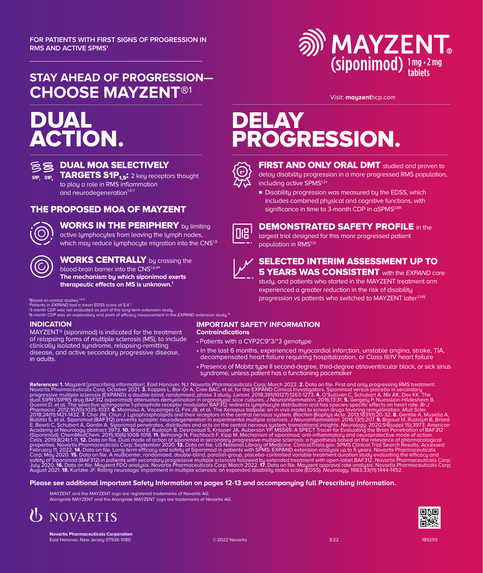

Visit: **mayzent**hcp.com

### **STAY AHEAD OF PROGRESSION— CHOOSE MAYZENT®**<sup>1</sup>

## DUAL ACTION.



### **BE DUAL MOA SELECTIVELY**

 $\widetilde{\mathsf{SP}_{1}}$  **SIP**<sub>1,5</sub>: 2 key receptors thought to play a role in RMS inflammation and neurodegeneration $1,4$ 

#### THE PROPOSED MOA OF MAYZENT



### WORKS IN THE PERIPHERY by limiting

active lymphocytes from leaving the lymph nodes, which may reduce lymphocyte migration into the CNS<sup>1,8</sup>

#### **WORKS CENTRALLY** by crossing the blood-brain barrier into the CNS<sup>1,8,9\*</sup> **The mechanism by which siponimod exerts therapeutic effects on MS is unknown.1**

\*Based on animal studies.<sup>18,9</sup><br>\*Patients in *EXPAND* had a mean EDSS score of 5.4.<sup>3</sup>

‡3-month CDP was not evaluated as part of the long-term extension study.<br><sup>§</sup>6-month CDP was an exploratory end point of efficacy measurement in the *EXPAND* extension study.<sup>15</sup>

#### **INDICATION**

MAYZENT® (siponimod) is indicated for the treatment of relapsing forms of multiple sclerosis (MS), to include clinicallu isolated sundrome, relapsing-remitting disease, and active secondary progressive disease, in adults.

## DELAY PROGRESSION.



**FIRST AND ONLY ORAL DMT** studied and proven to delay disability progression in a more progressed RMS population, including active SPMS1,2†

Disability progression was measured by the EDSS, which includes combined phusical and cognitive functions, with significance in time to 3-month CDP in aSPMS<sup>3,18‡</sup>



DEMONSTRATED SAFETY PROFILE in the largest trial designed for this more progressed patient population in RMS1,13

|--|--|

#### SELECTED INTERIM ASSESSMENT UP TO **5 YEARS WAS CONSISTENT** with the *EXPAND* core

study, and patients who started in the MAYZENT treatment arm experienced a greater reduction in the risk of disability progression vs patients who switched to MAYZENT later<sup>3,14§</sup>

### **IMPORTANT SAFETY INFORMATION**

- **Contraindications**
- Patients with a CYP2C9\*3/\*3 genotype
- In the last 6 months, experienced myocardial infarction, unstable angina, stroke, TIA, decompensated heart failure requiring hospitalization, or Class III/IV heart failure
- Presence of Mobitz type II second-degree, third-degree atrioventricular block, or sick sinus syndrome, unless patient has a functioning pacemaker

References: 1. Mayzent [prescribing information]. East Hanover, NJ: Novaritis Pharmaceuticals Corp; March 2022. 2. Data on file. First and only progressive multiple sclerosis (Illustration in spling RMS treatment, Ally 202

#### **Please see additional Important Safety Information on pages 12-13 and accompanying full Prescribing Information.**

 MAYZENT and the MAYZENT logo are registered trademarks of Novartis AG. Alongside MAYZENT and the Alongside MAYZENT logo are trademarks of Novartis AG.





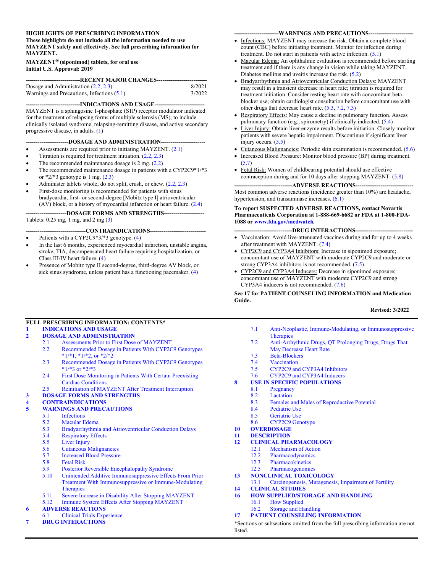#### **HIGHLIGHTS OF PRESCRIBING INFORMATION**

**These highlights do not include all the information needed to use MAYZENT safely and effectively. See full prescribing information for MAYZENT.**

#### **MAYZENT® (siponimod) tablets, for oral use Initial U.S. Approval: 2019**

| ------------------------------RECENT MAJOR CHANGES----------------------------- |        |
|---------------------------------------------------------------------------------|--------|
|                                                                                 |        |
| Dosage and Administration $(2.2, 2.3)$                                          | 8/2021 |
| Warnings and Precautions, Infections $(5.1)$                                    | 3/2022 |

**----------------------------INDICATIONS AND USAGE--------------------------** MAYZENT is a sphingosine 1-phosphate (S1P) receptor modulator indicated for the treatment of relapsing forms of multiple sclerosis (MS), to include clinically isolated syndrome, relapsing-remitting disease, and active secondary progressive disease, in adults. ([1\)](#page-9-1)

#### **----------------------DOSAGE AND ADMINISTRATION-----------------------**

- Assessments are required prior to initiating MAYZENT. ([2.1\)](#page-9-2)
- Titration is required for treatment initiation. [\(2.2](#page-9-0), [2.3](#page-10-0))
- The recommended maintenance dosage is 2 mg. ([2.2\)](#page-9-0)
- The recommended maintenance dosage in patients with a CYP2C9\*1/\*3 or  $*2/*3$  genotype is 1 mg.  $(2.3)$  $(2.3)$
- Administer tablets whole; do not split, crush, or chew. [\(2.2](#page-9-0), [2.3](#page-10-0))
- First-dose monitoring is recommended for patients with sinus bradycardia, first- or second-degree [Mobitz type I] atrioventricular (AV) block, or a history of myocardial infarction or heart failure. [\(2.4](#page-10-1))

**---------------------DOSAGE FORMS AND STRENGTHS---------------------**

Tablets: 0.25 mg, 1 mg, and 2 mg ([3\)](#page-11-1)

#### **-------------------------------CONTRAINDICATIONS-----------------------------**

- Patients with a CYP2C9\*3/\*3 genotype. [\(4](#page-11-2))
- In the last 6 months, experienced myocardial infarction, unstable angina, stroke, TIA, decompensated heart failure requiring hospitalization, or Class III/IV heart failure. ([4\)](#page-11-2)
- Presence of Mobitz type II second-degree, third-degree AV block, or sick sinus syndrome, unless patient has a functioning pacemaker. [\(4](#page-11-2))

#### **-----------------------WARNINGS AND PRECAUTIONS-----------------------**

- Infections: MAYZENT may increase the risk. Obtain a complete blood count (CBC) before initiating treatment. Monitor for infection during treatment. Do not start in patients with active infection. ([5.1\)](#page-11-0)
- Macular Edema: An ophthalmic evaluation is recommended before starting treatment and if there is any change in vision while taking MAYZENT. Diabetes mellitus and uveitis increase the risk. [\(5.2](#page-12-0))
- Bradyarrhythmia and Atrioventricular Conduction Delays: MAYZENT may result in a transient decrease in heart rate; titration is required for treatment initiation. Consider resting heart rate with concomitant betablocker use; obtain cardiologist consultation before concomitant use with other drugs that decrease heart rate. [\(5.3](#page-13-0), [7.2](#page-18-0), [7.3](#page-18-1))
- Respiratory Effects: May cause a decline in pulmonary function. Assess pulmonary function (e.g., spirometry) if clinically indicated. [\(5.4](#page-14-0))
- Liver Injury: Obtain liver enzyme results before initiation. Closely monitor patients with severe hepatic impairment. Discontinue if significant liver injury occurs.  $(5.5)$  $(5.5)$
- Cutaneous Malignancies: Periodic skin examination is recommended. ([5.6\)](#page-15-0)
- Increased Blood Pressure: Monitor blood pressure (BP) during treatment. ([5.7\)](#page-15-1)
- Fetal Risk: Women of childbearing potential should use effective contraception during and for 10 days after stopping MAYZENT. ([5.8\)](#page-15-2)

**------------------------------ADVERSE REACTIONS------------------------------** Most common adverse reactions (incidence greater than 10%) are headache, hypertension, and transaminase increases. ([6.1\)](#page-16-0)

#### **To report SUSPECTED ADVERSE REACTIONS, contact Novartis Pharmaceuticals Corporation at 1-888-669-6682 or FDA at 1-800-FDA-1088 or [www.fda.gov/medwatch](http://www.fda.gov/medwatch)***.*

#### **------------------------------DRUG INTERACTIONS------------------------------**

- Vaccination: Avoid live-attenuated vaccines during and for up to 4 weeks after treatment with MAYZENT. [\(7.4](#page-18-2))
- CYP2C9 and CYP3A4 Inhibitors: Increase in siponimod exposure; concomitant use of MAYZENT with moderate CYP2C9 and moderate or strong CYP3A4 inhibitors is not recommended. ([7.5\)](#page-18-3)
- CYP2C9 and CYP3A4 Inducers: Decrease in siponimod exposure; concomitant use of MAYZENT with moderate CYP2C9 and strong CYP3A4 inducers is not recommended. ([7.6\)](#page-18-4)

#### **See 17 for PATIENT COUNSELING INFORMATION and Medication Guide.**

#### **Revised: 3/2022**

#### **FULL PRESCRIBING INFORMATION: CONTENTS\***

**[1 INDICATIONS AND USAGE](#page-9-1)**

#### **[2 DOSAGE AND ADMINISTRATION](#page-9-3)**

- [2.1 Assessments Prior to First Dose of MAYZENT](#page-9-2)
- [2.2 Recommended Dosage in Patients With CYP2C9 Genotypes](#page-9-0)   $*1/*1$ ,  $*1/*2$ , or  $*2/*2$
- [2.3 Recommended Dosage in Patients With CYP2C9 Genotypes](#page-10-0)   $*1/*3$  or  $*2/*3$
- [2.4 First Dose Monitoring in Patients With Certain Preexisting](#page-10-1)  [Cardiac Conditions](#page-10-1)
- [2.5 Reinitiation of MAYZENT After Treatment Interruption](#page-11-3)
- **[3 DOSAGE FORMS AND STRENGTHS](#page-11-1)**

### **[4 CONTRAINDICATIONS](#page-11-2)**

#### **[5 WARNINGS AND PRECAUTIONS](#page-11-4)**

- [5.1 Infections](#page-11-0)
- [5.2 Macular Edema](#page-12-0)<br>5.3 Bradvarrhythmi
- [5.3 Bradyarrhythmia and Atrioventricular Conduction Delays](#page-13-0)
- Respiratory Effects
- [5.5 Liver Injury](#page-14-1)
- [5.6 Cutaneous Malignancies](#page-15-0)<br>5.7 Increased Blood Pressure
- [5.7 Increased Blood Pressure](#page-15-3)<br>5.8 Fetal Risk
- **Fetal Risk**
- [5.9 Posterior Reversible Encephalopathy Syndrome](#page-15-4)
- [5.10 Unintended Additive Immunosuppressive Effects From Prior](#page-15-5)  [Treatment With Immunosuppressive or Immune-Modulating](#page-15-5)  **[Therapies](#page-15-5)**
- [5.11 Severe Increase in Disability After Stopping MAYZENT](#page-15-6)
- [5.12 Immune System Effects After Stopping MAYZENT](#page-16-1)

#### **[6 ADVERSE REACTIONS](#page-16-2)**

- [6.1 Clinical Trials Experience](#page-16-0)
- **[7 DRUG INTERACTIONS](#page-17-0)**
- [7.1 Anti-Neoplastic, Immune-Modulating, or Immunosuppressive](#page-17-1)  **[Therapies](#page-17-1)**
- [7.2 Anti-Arrhythmic Drugs, QT Prolonging Drugs, Drugs That](#page-18-0)  [May Decrease Heart Rate](#page-18-0)
- [7.3 Beta-Blockers](#page-18-1)
- 
- [7.4 Vaccination](#page-18-2)<br>7.5 CYP2C9 and CYP2C9 and CYP3A4 Inhibitors
- [7.6 CYP2C9 and CYP3A4 Inducers](#page-18-4)
- **[8 USE IN SPECIFIC POPULATIONS](#page-18-5)**
	- [8.1 Pregnancy](#page-18-6)
		- [8.2 Lactation](#page-19-0)
		- [8.3 Females and Males of Reproductive Potential](#page-19-1)<br>8.4 Pediatric Use
	- Pediatric Use
	- [8.5 Geriatric Use](#page-19-3)
	- [8.6 CYP2C9 Genotype](#page-20-0)
- **[10 OVERDOSAGE](#page-20-1)**
- **[11 DESCRIPTION](#page-20-2)**
- **[12 CLINICAL PHARMACOLOGY](#page-21-0)**
	- [12.1 Mechanism of Action](#page-21-1)
		- [12.2 Pharmacodynamics](#page-21-2)<br>12.3 Pharmacokinetics
		- **Pharmacokinetics**
	- [12.5 Pharmacogenomics](#page-23-0)
- **[13 NONCLINICAL TOXICOLOGY](#page-24-0)**
- [13.1 Carcinogenesis, Mutagenesis, Impairment of Fertility](#page-24-1)
- **[14 CLINICAL STUDIES](#page-24-2)**
- **[16 HOW SUPPLIED/STORAGE AND HANDLING](#page-26-0)** 
	- [16.1 How Supplied](#page-26-1)
	- [16.2 Storage and Handling](#page-27-0)

#### **[17 PATIENT COUNSELING INFORMATION](#page-27-1)**

\*Sections or subsections omitted from the full prescribing information are not listed.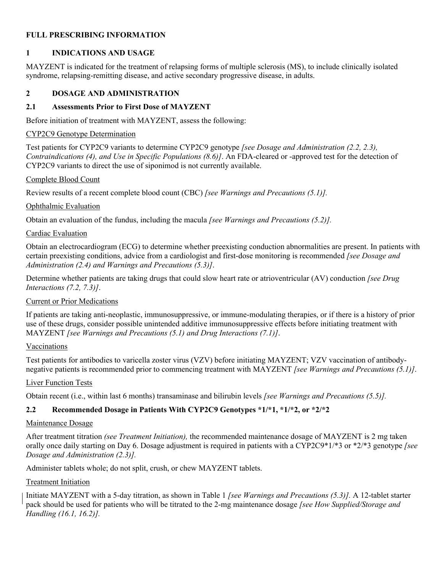#### <span id="page-9-1"></span>**FULL PRESCRIBING INFORMATION**

#### **1 INDICATIONS AND USAGE**

MAYZENT is indicated for the treatment of relapsing forms of multiple sclerosis (MS), to include clinically isolated syndrome, relapsing-remitting disease, and active secondary progressive disease, in adults.

#### <span id="page-9-3"></span>**2 DOSAGE AND ADMINISTRATION**

#### <span id="page-9-2"></span>**2.1 Assessments Prior to First Dose of MAYZENT**

Before initiation of treatment with MAYZENT, assess the following:

#### CYP2C9 Genotype Determination

Test patients for CYP2C9 variants to determine CYP2C9 genotype *[see Dosage and Administration (2.2, 2.3), Contraindications (4), and Use in Specific Populations (8.6)]*. An FDA-cleared or -approved test for the detection of CYP2C9 variants to direct the use of siponimod is not currently available.

#### Complete Blood Count

Review results of a recent complete blood count (CBC) *[see Warnings and Precautions (5.1)].*

#### Ophthalmic Evaluation

Obtain an evaluation of the fundus, including the macula *[see Warnings and Precautions (5.2)].*

#### Cardiac Evaluation

Obtain an electrocardiogram (ECG) to determine whether preexisting conduction abnormalities are present. In patients with certain preexisting conditions, advice from a cardiologist and first-dose monitoring is recommended *[see Dosage and Administration (2.4) and Warnings and Precautions (5.3)]*.

Determine whether patients are taking drugs that could slow heart rate or atrioventricular (AV) conduction *[see Drug Interactions (7.2, 7.3)]*.

#### Current or Prior Medications

If patients are taking anti-neoplastic, immunosuppressive, or immune-modulating therapies, or if there is a history of prior use of these drugs, consider possible unintended additive immunosuppressive effects before initiating treatment with MAYZENT *[see Warnings and Precautions (5.1) and Drug Interactions (7.1)]*.

#### Vaccinations

Test patients for antibodies to varicella zoster virus (VZV) before initiating MAYZENT; VZV vaccination of antibodynegative patients is recommended prior to commencing treatment with MAYZENT *[see Warnings and Precautions (5.1)]*.

#### Liver Function Tests

Obtain recent (i.e., within last 6 months) transaminase and bilirubin levels *[see Warnings and Precautions (5.5)].*

#### <span id="page-9-0"></span>**2.2 Recommended Dosage in Patients With CYP2C9 Genotypes \*1/\*1, \*1/\*2, or \*2/\*2**

#### Maintenance Dosage

After treatment titration *(see Treatment Initiation),* the recommended maintenance dosage of MAYZENT is 2 mg taken orally once daily starting on Day 6. Dosage adjustment is required in patients with a CYP2C9\*1/\*3 or \*2/\*3 genotype *[see Dosage and Administration (2.3)].*

Administer tablets whole; do not split, crush, or chew MAYZENT tablets.

#### Treatment Initiation

Initiate MAYZENT with a 5-day titration, as shown in Table 1 *[see Warnings and Precautions (5.3)].* A 12-tablet starter pack should be used for patients who will be titrated to the 2-mg maintenance dosage *[see How Supplied/Storage and Handling (16.1, 16.2)].*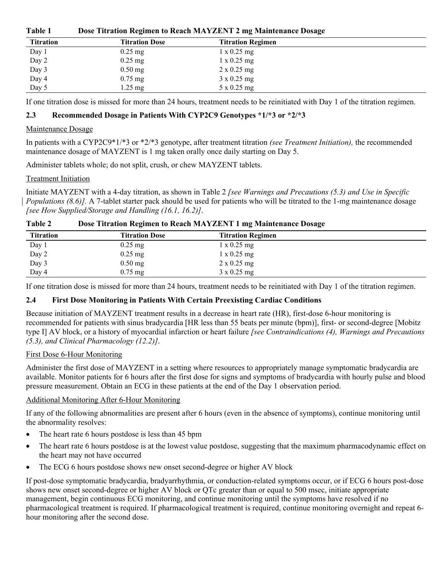| Table 1 | Dose Titration Regimen to Reach MAYZENT 2 mg Maintenance Dosage |  |
|---------|-----------------------------------------------------------------|--|
|---------|-----------------------------------------------------------------|--|

| <b>Titration</b> | <b>Titration Dose</b> | <b>Titration Regimen</b> |
|------------------|-----------------------|--------------------------|
| Day 1            | $0.25$ mg             | $1 \times 0.25$ mg       |
| Day 2            | $0.25$ mg             | $1 \times 0.25$ mg       |
| Day 3            | $0.50$ mg             | $2 \times 0.25$ mg       |
| Day 4            | $0.75$ mg             | $3 \times 0.25$ mg       |
| Day 5            | $1.25 \text{ mg}$     | $5 \times 0.25$ mg       |

If one titration dose is missed for more than 24 hours, treatment needs to be reinitiated with Day 1 of the titration regimen.

#### <span id="page-10-0"></span>**2.3 Recommended Dosage in Patients With CYP2C9 Genotypes \*1/\*3 or \*2/\*3**

#### Maintenance Dosage

In patients with a CYP2C9\*1/\*3 or \*2/\*3 genotype, after treatment titration *(see Treatment Initiation),* the recommended maintenance dosage of MAYZENT is 1 mg taken orally once daily starting on Day 5.

Administer tablets whole; do not split, crush, or chew MAYZENT tablets.

#### Treatment Initiation

Initiate MAYZENT with a 4-day titration, as shown in Table 2 *[see Warnings and Precautions (5.3) and Use in Specific Populations (8.6)].* A 7-tablet starter pack should be used for patients who will be titrated to the 1-mg maintenance dosage *[see How Supplied/Storage and Handling (16.1, 16.2)]*.

| Table 2   |                       | Dose Titration Regimen to Reach MAYZENT 1 mg Maintenance Dosage |  |
|-----------|-----------------------|-----------------------------------------------------------------|--|
| Titration | <b>Titration Dose</b> | <b>Titration Regimen</b>                                        |  |

| <b>Titration</b> | <b>Titration Dose</b> | <b>Titration Regimen</b> |
|------------------|-----------------------|--------------------------|
| Day 1            | $0.25$ mg             | $1 \times 0.25$ mg       |
| Day 2            | $0.25$ mg             | $1 \times 0.25$ mg       |
| Day 3            | $0.50$ mg             | $2 \times 0.25$ mg       |
| Day 4            | $0.75$ mg             | $3 \times 0.25$ mg       |

If one titration dose is missed for more than 24 hours, treatment needs to be reinitiated with Day 1 of the titration regimen.

#### <span id="page-10-1"></span>**2.4 First Dose Monitoring in Patients With Certain Preexisting Cardiac Conditions**

Because initiation of MAYZENT treatment results in a decrease in heart rate (HR), first-dose 6-hour monitoring is recommended for patients with sinus bradycardia [HR less than 55 beats per minute (bpm)], first- or second-degree [Mobitz type I] AV block, or a history of myocardial infarction or heart failure *[see Contraindications (4), Warnings and Precautions (5.3), and Clinical Pharmacology (12.2)]*.

#### First Dose 6-Hour Monitoring

Administer the first dose of MAYZENT in a setting where resources to appropriately manage symptomatic bradycardia are available. Monitor patients for 6 hours after the first dose for signs and symptoms of bradycardia with hourly pulse and blood pressure measurement. Obtain an ECG in these patients at the end of the Day 1 observation period.

#### Additional Monitoring After 6-Hour Monitoring

If any of the following abnormalities are present after 6 hours (even in the absence of symptoms), continue monitoring until the abnormality resolves:

- The heart rate 6 hours postdose is less than 45 bpm
- The heart rate 6 hours postdose is at the lowest value postdose, suggesting that the maximum pharmacodynamic effect on the heart may not have occurred
- The ECG 6 hours postdose shows new onset second-degree or higher AV block

If post-dose symptomatic bradycardia, bradyarrhythmia, or conduction-related symptoms occur, or if ECG 6 hours post-dose shows new onset second-degree or higher AV block or QTc greater than or equal to 500 msec, initiate appropriate management, begin continuous ECG monitoring, and continue monitoring until the symptoms have resolved if no pharmacological treatment is required. If pharmacological treatment is required, continue monitoring overnight and repeat 6 hour monitoring after the second dose.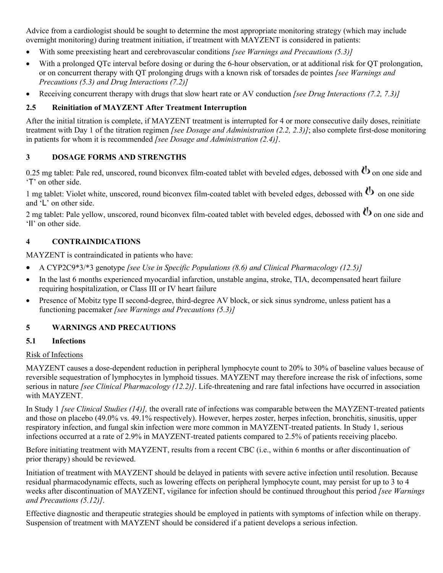Advice from a cardiologist should be sought to determine the most appropriate monitoring strategy (which may include overnight monitoring) during treatment initiation, if treatment with MAYZENT is considered in patients:

- With some preexisting heart and cerebrovascular conditions *[see Warnings and Precautions (5.3)]*
- With a prolonged QTc interval before dosing or during the 6-hour observation, or at additional risk for QT prolongation, or on concurrent therapy with QT prolonging drugs with a known risk of torsades de pointes *[see Warnings and Precautions (5.3) and Drug Interactions (7.2)]*
- Receiving concurrent therapy with drugs that slow heart rate or AV conduction *[see Drug Interactions (7.2, 7.3)]*

#### <span id="page-11-3"></span>**2.5 Reinitiation of MAYZENT After Treatment Interruption**

After the initial titration is complete, if MAYZENT treatment is interrupted for 4 or more consecutive daily doses, reinitiate treatment with Day 1 of the titration regimen *[see Dosage and Administration (2.2, 2.3)]*; also complete first-dose monitoring in patients for whom it is recommended *[see Dosage and Administration (2.4)]*.

#### <span id="page-11-1"></span>**3 DOSAGE FORMS AND STRENGTHS**

0.25 mg tablet: Pale red, unscored, round biconvex film-coated tablet with beveled edges, debossed with  $\bf{b}$  on one side and 'T' on other side.

1 mg tablet: Violet white, unscored, round biconvex film-coated tablet with beveled edges, debossed with  $\bf{b}$  on one side and 'L' on other side.

2 mg tablet: Pale yellow, unscored, round biconvex film-coated tablet with beveled edges, debossed with  $\bf{b}$  on one side and 'II' on other side.

#### <span id="page-11-2"></span>**4 CONTRAINDICATIONS**

MAYZENT is contraindicated in patients who have:

- A CYP2C9\*3/\*3 genotype *[see Use in Specific Populations (8.6) and Clinical Pharmacology (12.5)]*
- In the last 6 months experienced myocardial infarction, unstable angina, stroke, TIA, decompensated heart failure requiring hospitalization, or Class III or IV heart failure
- Presence of Mobitz type II second-degree, third-degree AV block, or sick sinus syndrome, unless patient has a functioning pacemaker *[see Warnings and Precautions (5.3)]*

#### <span id="page-11-4"></span>**5 WARNINGS AND PRECAUTIONS**

#### <span id="page-11-0"></span>**5.1 Infections**

#### Risk of Infections

MAYZENT causes a dose-dependent reduction in peripheral lymphocyte count to 20% to 30% of baseline values because of reversible sequestration of lymphocytes in lymphoid tissues. MAYZENT may therefore increase the risk of infections, some serious in nature *[see Clinical Pharmacology (12.2)]*. Life-threatening and rare fatal infections have occurred in association with MAYZENT.

In Study 1 *[see Clinical Studies (14)],* the overall rate of infections was comparable between the MAYZENT-treated patients and those on placebo (49.0% vs. 49.1% respectively). However, herpes zoster, herpes infection, bronchitis, sinusitis, upper respiratory infection, and fungal skin infection were more common in MAYZENT-treated patients. In Study 1, serious infections occurred at a rate of 2.9% in MAYZENT-treated patients compared to 2.5% of patients receiving placebo.

Before initiating treatment with MAYZENT, results from a recent CBC (i.e., within 6 months or after discontinuation of prior therapy) should be reviewed.

Initiation of treatment with MAYZENT should be delayed in patients with severe active infection until resolution. Because residual pharmacodynamic effects, such as lowering effects on peripheral lymphocyte count, may persist for up to 3 to 4 weeks after discontinuation of MAYZENT, vigilance for infection should be continued throughout this period *[see Warnings and Precautions (5.12)]*.

Effective diagnostic and therapeutic strategies should be employed in patients with symptoms of infection while on therapy. Suspension of treatment with MAYZENT should be considered if a patient develops a serious infection.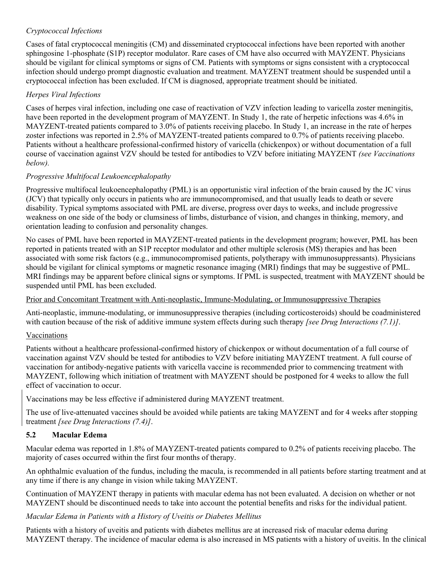#### *Cryptococcal Infections*

Cases of fatal cryptococcal meningitis (CM) and disseminated cryptococcal infections have been reported with another sphingosine 1-phosphate (S1P) receptor modulator. Rare cases of CM have also occurred with MAYZENT. Physicians should be vigilant for clinical symptoms or signs of CM. Patients with symptoms or signs consistent with a cryptococcal infection should undergo prompt diagnostic evaluation and treatment. MAYZENT treatment should be suspended until a cryptococcal infection has been excluded. If CM is diagnosed, appropriate treatment should be initiated.

#### *Herpes Viral Infections*

Cases of herpes viral infection, including one case of reactivation of VZV infection leading to varicella zoster meningitis, have been reported in the development program of MAYZENT. In Study 1, the rate of herpetic infections was 4.6% in MAYZENT-treated patients compared to 3.0% of patients receiving placebo. In Study 1, an increase in the rate of herpes zoster infections was reported in 2.5% of MAYZENT-treated patients compared to 0.7% of patients receiving placebo. Patients without a healthcare professional-confirmed history of varicella (chickenpox) or without documentation of a full course of vaccination against VZV should be tested for antibodies to VZV before initiating MAYZENT *(see Vaccinations below).*

#### *Progressive Multifocal Leukoencephalopathy*

Progressive multifocal leukoencephalopathy (PML) is an opportunistic viral infection of the brain caused by the JC virus (JCV) that typically only occurs in patients who are immunocompromised, and that usually leads to death or severe disability. Typical symptoms associated with PML are diverse, progress over days to weeks, and include progressive weakness on one side of the body or clumsiness of limbs, disturbance of vision, and changes in thinking, memory, and orientation leading to confusion and personality changes.

No cases of PML have been reported in MAYZENT-treated patients in the development program; however, PML has been reported in patients treated with an S1P receptor modulator and other multiple sclerosis (MS) therapies and has been associated with some risk factors (e.g., immunocompromised patients, polytherapy with immunosuppressants). Physicians should be vigilant for clinical symptoms or magnetic resonance imaging (MRI) findings that may be suggestive of PML. MRI findings may be apparent before clinical signs or symptoms. If PML is suspected, treatment with MAYZENT should be suspended until PML has been excluded.

#### Prior and Concomitant Treatment with Anti-neoplastic, Immune-Modulating, or Immunosuppressive Therapies

Anti-neoplastic, immune-modulating, or immunosuppressive therapies (including corticosteroids) should be coadministered with caution because of the risk of additive immune system effects during such therapy *[see Drug Interactions (7.1)]*.

#### Vaccinations

Patients without a healthcare professional-confirmed history of chickenpox or without documentation of a full course of vaccination against VZV should be tested for antibodies to VZV before initiating MAYZENT treatment. A full course of vaccination for antibody-negative patients with varicella vaccine is recommended prior to commencing treatment with MAYZENT, following which initiation of treatment with MAYZENT should be postponed for 4 weeks to allow the full effect of vaccination to occur.

Vaccinations may be less effective if administered during MAYZENT treatment.

The use of live-attenuated vaccines should be avoided while patients are taking MAYZENT and for 4 weeks after stopping treatment *[see Drug Interactions (7.4)]*.

### <span id="page-12-0"></span>**5.2 Macular Edema**

Macular edema was reported in 1.8% of MAYZENT-treated patients compared to 0.2% of patients receiving placebo. The majority of cases occurred within the first four months of therapy.

An ophthalmic evaluation of the fundus, including the macula, is recommended in all patients before starting treatment and at any time if there is any change in vision while taking MAYZENT.

Continuation of MAYZENT therapy in patients with macular edema has not been evaluated. A decision on whether or not MAYZENT should be discontinued needs to take into account the potential benefits and risks for the individual patient.

### *Macular Edema in Patients with a History of Uveitis or Diabetes Mellitus*

Patients with a history of uveitis and patients with diabetes mellitus are at increased risk of macular edema during MAYZENT therapy. The incidence of macular edema is also increased in MS patients with a history of uveitis. In the clinical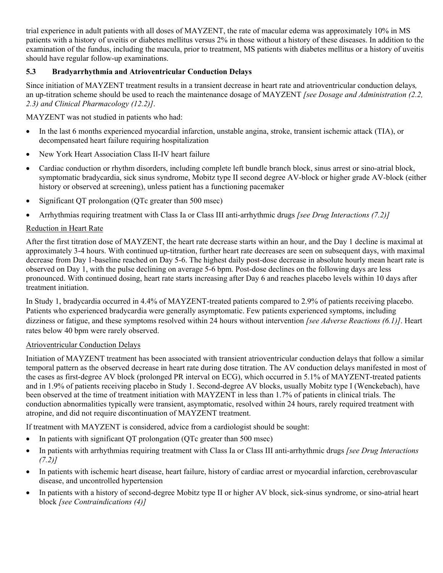trial experience in adult patients with all doses of MAYZENT, the rate of macular edema was approximately 10% in MS patients with a history of uveitis or diabetes mellitus versus 2% in those without a history of these diseases. In addition to the examination of the fundus, including the macula, prior to treatment, MS patients with diabetes mellitus or a history of uveitis should have regular follow-up examinations.

#### <span id="page-13-0"></span>**5.3 Bradyarrhythmia and Atrioventricular Conduction Delays**

Since initiation of MAYZENT treatment results in a transient decrease in heart rate and atrioventricular conduction delays*,* an up-titration scheme should be used to reach the maintenance dosage of MAYZENT *[see Dosage and Administration (2.2, 2.3) and Clinical Pharmacology (12.2)]*.

MAYZENT was not studied in patients who had:

- In the last 6 months experienced myocardial infarction, unstable angina, stroke, transient ischemic attack (TIA), or decompensated heart failure requiring hospitalization
- New York Heart Association Class II-IV heart failure
- Cardiac conduction or rhythm disorders, including complete left bundle branch block, sinus arrest or sino-atrial block, symptomatic bradycardia, sick sinus syndrome, Mobitz type II second degree AV-block or higher grade AV-block (either history or observed at screening), unless patient has a functioning pacemaker
- Significant QT prolongation (QTc greater than 500 msec)
- Arrhythmias requiring treatment with Class Ia or Class III anti-arrhythmic drugs *[see Drug Interactions (7.2)]*

#### Reduction in Heart Rate

After the first titration dose of MAYZENT, the heart rate decrease starts within an hour, and the Day 1 decline is maximal at approximately 3-4 hours. With continued up-titration, further heart rate decreases are seen on subsequent days, with maximal decrease from Day 1-baseline reached on Day 5-6. The highest daily post-dose decrease in absolute hourly mean heart rate is observed on Day 1, with the pulse declining on average 5-6 bpm. Post-dose declines on the following days are less pronounced. With continued dosing, heart rate starts increasing after Day 6 and reaches placebo levels within 10 days after treatment initiation.

In Study 1, bradycardia occurred in 4.4% of MAYZENT-treated patients compared to 2.9% of patients receiving placebo. Patients who experienced bradycardia were generally asymptomatic. Few patients experienced symptoms, including dizziness or fatigue, and these symptoms resolved within 24 hours without intervention *[see Adverse Reactions (6.1)]*. Heart rates below 40 bpm were rarely observed.

#### Atrioventricular Conduction Delays

Initiation of MAYZENT treatment has been associated with transient atrioventricular conduction delays that follow a similar temporal pattern as the observed decrease in heart rate during dose titration. The AV conduction delays manifested in most of the cases as first-degree AV block (prolonged PR interval on ECG), which occurred in 5.1% of MAYZENT-treated patients and in 1.9% of patients receiving placebo in Study 1. Second-degree AV blocks, usually Mobitz type I (Wenckebach), have been observed at the time of treatment initiation with MAYZENT in less than 1.7% of patients in clinical trials. The conduction abnormalities typically were transient, asymptomatic, resolved within 24 hours, rarely required treatment with atropine, and did not require discontinuation of MAYZENT treatment.

If treatment with MAYZENT is considered, advice from a cardiologist should be sought:

- In patients with significant OT prolongation (OTc greater than 500 msec)
- In patients with arrhythmias requiring treatment with Class Ia or Class III anti-arrhythmic drugs *[see Drug Interactions (7.2)]*
- In patients with ischemic heart disease, heart failure, history of cardiac arrest or myocardial infarction, cerebrovascular disease, and uncontrolled hypertension
- In patients with a history of second-degree Mobitz type II or higher AV block, sick-sinus syndrome, or sino-atrial heart block *[see Contraindications (4)]*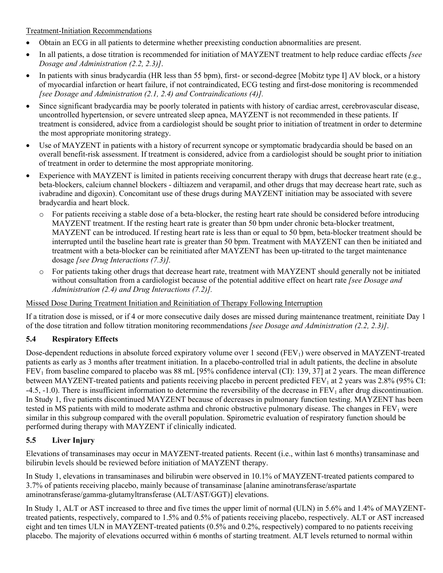#### Treatment-Initiation Recommendations

- Obtain an ECG in all patients to determine whether preexisting conduction abnormalities are present.
- In all patients, a dose titration is recommended for initiation of MAYZENT treatment to help reduce cardiac effects *[see Dosage and Administration (2.2, 2.3)]*.
- In patients with sinus bradycardia (HR less than 55 bpm), first- or second-degree [Mobitz type I] AV block, or a history of myocardial infarction or heart failure, if not contraindicated, ECG testing and first-dose monitoring is recommended *[see Dosage and Administration (2.1, 2.4) and Contraindications (4)].*
- Since significant bradycardia may be poorly tolerated in patients with history of cardiac arrest, cerebrovascular disease, uncontrolled hypertension, or severe untreated sleep apnea, MAYZENT is not recommended in these patients. If treatment is considered, advice from a cardiologist should be sought prior to initiation of treatment in order to determine the most appropriate monitoring strategy.
- Use of MAYZENT in patients with a history of recurrent syncope or symptomatic bradycardia should be based on an overall benefit-risk assessment. If treatment is considered, advice from a cardiologist should be sought prior to initiation of treatment in order to determine the most appropriate monitoring.
- Experience with MAYZENT is limited in patients receiving concurrent therapy with drugs that decrease heart rate (e.g., beta-blockers, calcium channel blockers - diltiazem and verapamil, and other drugs that may decrease heart rate, such as ivabradine and digoxin). Concomitant use of these drugs during MAYZENT initiation may be associated with severe bradycardia and heart block.
	- o For patients receiving a stable dose of a beta-blocker, the resting heart rate should be considered before introducing MAYZENT treatment. If the resting heart rate is greater than 50 bpm under chronic beta-blocker treatment, MAYZENT can be introduced. If resting heart rate is less than or equal to 50 bpm, beta-blocker treatment should be interrupted until the baseline heart rate is greater than 50 bpm. Treatment with MAYZENT can then be initiated and treatment with a beta-blocker can be reinitiated after MAYZENT has been up-titrated to the target maintenance dosage *[see Drug Interactions (7.3)].*
	- o For patients taking other drugs that decrease heart rate, treatment with MAYZENT should generally not be initiated without consultation from a cardiologist because of the potential additive effect on heart rate *[see Dosage and Administration (2.4) and Drug Interactions (7.2)].*

#### Missed Dose During Treatment Initiation and Reinitiation of Therapy Following Interruption

If a titration dose is missed, or if 4 or more consecutive daily doses are missed during maintenance treatment, reinitiate Day 1 of the dose titration and follow titration monitoring recommendations *[see Dosage and Administration (2.2, 2.3)]*.

#### <span id="page-14-0"></span>**5.4 Respiratory Effects**

Dose-dependent reductions in absolute forced expiratory volume over 1 second ( $FEV<sub>1</sub>$ ) were observed in MAYZENT-treated patients as early as 3 months after treatment initiation. In a placebo-controlled trial in adult patients, the decline in absolute  $FEV<sub>1</sub>$  from baseline compared to placebo was 88 mL [95% confidence interval (CI): 139, 37] at 2 years. The mean difference between MAYZENT-treated patients and patients receiving placebo in percent predicted  $FEV<sub>1</sub>$  at 2 years was 2.8% (95% CI: -4.5, -1.0). There is insufficient information to determine the reversibility of the decrease in  $FEV<sub>1</sub>$  after drug discontinuation. In Study 1, five patients discontinued MAYZENT because of decreases in pulmonary function testing. MAYZENT has been tested in MS patients with mild to moderate asthma and chronic obstructive pulmonary disease. The changes in  $FEV<sub>1</sub>$  were similar in this subgroup compared with the overall population. Spirometric evaluation of respiratory function should be performed during therapy with MAYZENT if clinically indicated.

### <span id="page-14-1"></span>**5.5 Liver Injury**

Elevations of transaminases may occur in MAYZENT-treated patients. Recent (i.e., within last 6 months) transaminase and bilirubin levels should be reviewed before initiation of MAYZENT therapy.

In Study 1, elevations in transaminases and bilirubin were observed in 10.1% of MAYZENT-treated patients compared to 3.7% of patients receiving placebo, mainly because of transaminase [alanine aminotransferase/aspartate aminotransferase/gamma-glutamyltransferase (ALT/AST/GGT)] elevations.

In Study 1, ALT or AST increased to three and five times the upper limit of normal (ULN) in 5.6% and 1.4% of MAYZENTtreated patients, respectively, compared to 1.5% and 0.5% of patients receiving placebo, respectively. ALT or AST increased eight and ten times ULN in MAYZENT-treated patients (0.5% and 0.2%, respectively) compared to no patients receiving placebo. The majority of elevations occurred within 6 months of starting treatment. ALT levels returned to normal within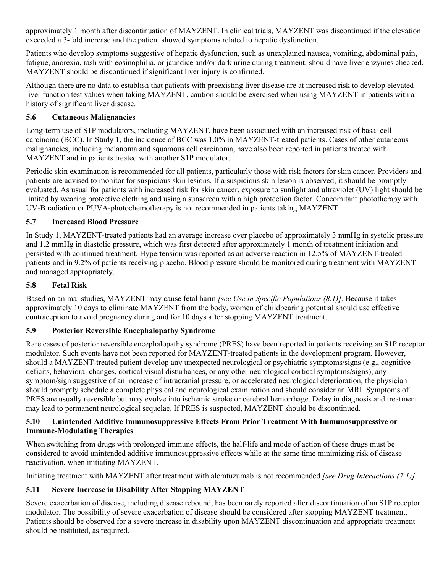approximately 1 month after discontinuation of MAYZENT. In clinical trials, MAYZENT was discontinued if the elevation exceeded a 3-fold increase and the patient showed symptoms related to hepatic dysfunction.

Patients who develop symptoms suggestive of hepatic dysfunction, such as unexplained nausea, vomiting, abdominal pain, fatigue, anorexia, rash with eosinophilia, or jaundice and/or dark urine during treatment, should have liver enzymes checked. MAYZENT should be discontinued if significant liver injury is confirmed.

Although there are no data to establish that patients with preexisting liver disease are at increased risk to develop elevated liver function test values when taking MAYZENT, caution should be exercised when using MAYZENT in patients with a history of significant liver disease.

#### <span id="page-15-0"></span>**5.6 Cutaneous Malignancies**

Long-term use of S1P modulators, including MAYZENT, have been associated with an increased risk of basal cell carcinoma (BCC). In Study 1, the incidence of BCC was 1.0% in MAYZENT-treated patients. Cases of other cutaneous malignancies, including melanoma and squamous cell carcinoma, have also been reported in patients treated with MAYZENT and in patients treated with another S1P modulator.

Periodic skin examination is recommended for all patients, particularly those with risk factors for skin cancer. Providers and patients are advised to monitor for suspicious skin lesions. If a suspicious skin lesion is observed, it should be promptly evaluated. As usual for patients with increased risk for skin cancer, exposure to sunlight and ultraviolet (UV) light should be limited by wearing protective clothing and using a sunscreen with a high protection factor. Concomitant phototherapy with UV-B radiation or PUVA-photochemotherapy is not recommended in patients taking MAYZENT.

#### <span id="page-15-3"></span><span id="page-15-1"></span>**5.7 Increased Blood Pressure**

In Study 1, MAYZENT-treated patients had an average increase over placebo of approximately 3 mmHg in systolic pressure and 1.2 mmHg in diastolic pressure, which was first detected after approximately 1 month of treatment initiation and persisted with continued treatment. Hypertension was reported as an adverse reaction in 12.5% of MAYZENT-treated patients and in 9.2% of patients receiving placebo. Blood pressure should be monitored during treatment with MAYZENT and managed appropriately.

#### <span id="page-15-2"></span>**5.8 Fetal Risk**

Based on animal studies, MAYZENT may cause fetal harm *[see Use in Specific Populations (8.1)].* Because it takes approximately 10 days to eliminate MAYZENT from the body, women of childbearing potential should use effective contraception to avoid pregnancy during and for 10 days after stopping MAYZENT treatment.

#### <span id="page-15-4"></span>**5.9 Posterior Reversible Encephalopathy Syndrome**

Rare cases of posterior reversible encephalopathy syndrome (PRES) have been reported in patients receiving an S1P receptor modulator. Such events have not been reported for MAYZENT-treated patients in the development program. However, should a MAYZENT-treated patient develop any unexpected neurological or psychiatric symptoms/signs (e.g., cognitive deficits, behavioral changes, cortical visual disturbances, or any other neurological cortical symptoms/signs), any symptom/sign suggestive of an increase of intracranial pressure, or accelerated neurological deterioration, the physician should promptly schedule a complete physical and neurological examination and should consider an MRI. Symptoms of PRES are usually reversible but may evolve into ischemic stroke or cerebral hemorrhage. Delay in diagnosis and treatment may lead to permanent neurological sequelae. If PRES is suspected, MAYZENT should be discontinued.

#### <span id="page-15-5"></span>**5.10 Unintended Additive Immunosuppressive Effects From Prior Treatment With Immunosuppressive or Immune-Modulating Therapies**

When switching from drugs with prolonged immune effects, the half-life and mode of action of these drugs must be considered to avoid unintended additive immunosuppressive effects while at the same time minimizing risk of disease reactivation, when initiating MAYZENT.

Initiating treatment with MAYZENT after treatment with alemtuzumab is not recommended *[see Drug Interactions (7.1)]*.

#### <span id="page-15-6"></span>**5.11 Severe Increase in Disability After Stopping MAYZENT**

Severe exacerbation of disease, including disease rebound, has been rarely reported after discontinuation of an S1P receptor modulator. The possibility of severe exacerbation of disease should be considered after stopping MAYZENT treatment. Patients should be observed for a severe increase in disability upon MAYZENT discontinuation and appropriate treatment should be instituted, as required.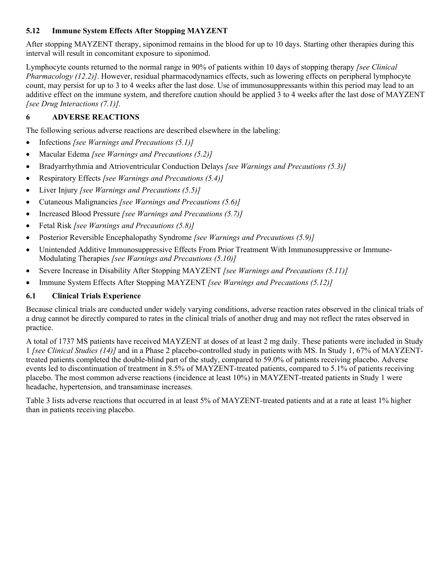#### <span id="page-16-1"></span>**5.12 Immune System Effects After Stopping MAYZENT**

After stopping MAYZENT therapy, siponimod remains in the blood for up to 10 days. Starting other therapies during this interval will result in concomitant exposure to siponimod.

Lymphocyte counts returned to the normal range in 90% of patients within 10 days of stopping therapy *[see Clinical Pharmacology (12.2)]*. However, residual pharmacodynamics effects, such as lowering effects on peripheral lymphocyte count, may persist for up to 3 to 4 weeks after the last dose. Use of immunosuppressants within this period may lead to an additive effect on the immune system, and therefore caution should be applied 3 to 4 weeks after the last dose of MAYZENT *[see Drug Interactions (7.1)].*

#### <span id="page-16-2"></span>**6 ADVERSE REACTIONS**

The following serious adverse reactions are described elsewhere in the labeling:

- Infections *[see Warnings and Precautions (5.1)]*
- Macular Edema *[see Warnings and Precautions (5.2)]*
- Bradyarrhythmia and Atrioventricular Conduction Delays *[see Warnings and Precautions (5.3)]*
- Respiratory Effects *[see Warnings and Precautions (5.4)]*
- Liver Injury *[see Warnings and Precautions (5.5)]*
- Cutaneous Malignancies *[see Warnings and Precautions (5.6)]*
- Increased Blood Pressure *[see Warnings and Precautions (5.7)]*
- Fetal Risk *[see Warnings and Precautions (5.8)]*
- Posterior Reversible Encephalopathy Syndrome *[see Warnings and Precautions (5.9)]*
- Unintended Additive Immunosuppressive Effects From Prior Treatment With Immunosuppressive or Immune-Modulating Therapies *[see Warnings and Precautions (5.10)]*
- Severe Increase in Disability After Stopping MAYZENT *[see Warnings and Precautions (5.11)]*
- Immune System Effects After Stopping MAYZENT *[see Warnings and Precautions (5.12)]*

#### <span id="page-16-0"></span>**6.1 Clinical Trials Experience**

Because clinical trials are conducted under widely varying conditions, adverse reaction rates observed in the clinical trials of a drug cannot be directly compared to rates in the clinical trials of another drug and may not reflect the rates observed in practice.

A total of 1737 MS patients have received MAYZENT at doses of at least 2 mg daily. These patients were included in Study 1 *[see Clinical Studies (14)]* and in a Phase 2 placebo-controlled study in patients with MS. In Study 1, 67% of MAYZENTtreated patients completed the double-blind part of the study, compared to 59.0% of patients receiving placebo. Adverse events led to discontinuation of treatment in 8.5% of MAYZENT-treated patients, compared to 5.1% of patients receiving placebo. The most common adverse reactions (incidence at least 10%) in MAYZENT-treated patients in Study 1 were headache, hypertension, and transaminase increases.

Table 3 lists adverse reactions that occurred in at least 5% of MAYZENT-treated patients and at a rate at least 1% higher than in patients receiving placebo.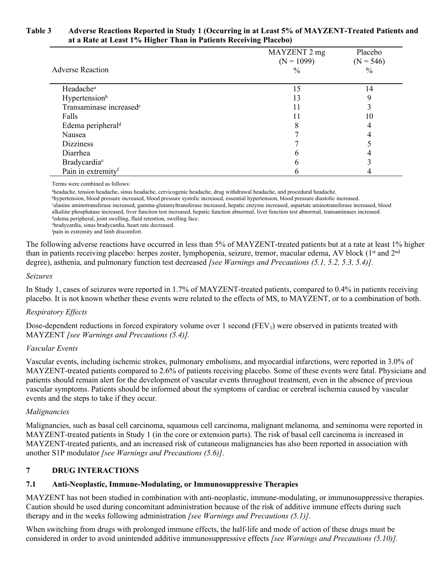#### **Table 3 Adverse Reactions Reported in Study 1 (Occurring in at Least 5% of MAYZENT-Treated Patients and at a Rate at Least 1% Higher Than in Patients Receiving Placebo)**

|                                     | MAYZENT 2 mg<br>$(N = 1099)$ | Placebo<br>$(N = 546)$ |
|-------------------------------------|------------------------------|------------------------|
| <b>Adverse Reaction</b>             | $\frac{0}{0}$                | $\frac{0}{0}$          |
| Headache <sup>a</sup>               | 15                           | 14                     |
| Hypertension <sup>b</sup>           | 13                           | Q                      |
| Transaminase increased <sup>c</sup> | 11                           |                        |
| Falls                               |                              | 10                     |
| Edema peripheral <sup>d</sup>       | 8                            | 4                      |
| Nausea                              |                              |                        |
| <b>Dizziness</b>                    |                              |                        |
| Diarrhea                            | n                            |                        |
| Bradycardia <sup>e</sup>            | n                            |                        |
| Pain in extremityf                  | n                            |                        |

Terms were combined as follows:

<sup>a</sup>headache, tension headache, sinus headache, cervicogenic headache, drug withdrawal headache, and procedural headache. <sup>b</sup>hypertension, blood pressure increased, blood pressure systolic increased, essential hypertension, blood pressure diastolic increased. <sup>c</sup>alanine aminotransferase increased, gamma-glutamyltransferase increased, hepatic enzyme increased, aspartate aminotransferase increased, blood alkaline phosphatase increased, liver function test increased, hepatic function abnormal, liver function test abnormal, transaminases increased. dedema peripheral, joint swelling, fluid retention, swelling face. <sup>e</sup>bradycardia, sinus bradycardia, heart rate decreased.

<sup>f</sup>pain in extremity and limb discomfort.

The following adverse reactions have occurred in less than 5% of MAYZENT-treated patients but at a rate at least 1% higher than in patients receiving placebo: herpes zoster, lymphopenia, seizure, tremor, macular edema, AV block (1<sup>st</sup> and 2<sup>nd</sup>) degree), asthenia, and pulmonary function test decreased *[see Warnings and Precautions (5.1, 5.2, 5.3, 5.4)].*

#### *Seizures*

In Study 1, cases of seizures were reported in 1.7% of MAYZENT-treated patients, compared to 0.4% in patients receiving placebo. It is not known whether these events were related to the effects of MS, to MAYZENT, or to a combination of both.

#### *Respiratory Effects*

Dose-dependent reductions in forced expiratory volume over 1 second  $(FEV<sub>1</sub>)$  were observed in patients treated with MAYZENT *[see Warnings and Precautions (5.4)].*

#### *Vascular Events*

Vascular events, including ischemic strokes, pulmonary embolisms, and myocardial infarctions, were reported in 3.0% of MAYZENT-treated patients compared to 2.6% of patients receiving placebo. Some of these events were fatal. Physicians and patients should remain alert for the development of vascular events throughout treatment, even in the absence of previous vascular symptoms. Patients should be informed about the symptoms of cardiac or cerebral ischemia caused by vascular events and the steps to take if they occur.

#### *Malignancies*

Malignancies, such as basal cell carcinoma, squamous cell carcinoma, malignant melanoma*,* and seminoma were reported in MAYZENT-treated patients in Study 1 (in the core or extension parts). The risk of basal cell carcinoma is increased in MAYZENT-treated patients, and an increased risk of cutaneous malignancies has also been reported in association with another S1P modulator *[see Warnings and Precautions (5.6)]*.

#### <span id="page-17-0"></span>**7 DRUG INTERACTIONS**

#### <span id="page-17-1"></span>**7.1 Anti-Neoplastic, Immune-Modulating, or Immunosuppressive Therapies**

MAYZENT has not been studied in combination with anti-neoplastic, immune-modulating, or immunosuppressive therapies. Caution should be used during concomitant administration because of the risk of additive immune effects during such therapy and in the weeks following administration *[see Warnings and Precautions (5.1)]*.

When switching from drugs with prolonged immune effects, the half-life and mode of action of these drugs must be considered in order to avoid unintended additive immunosuppressive effects *[see Warnings and Precautions (5.10)].*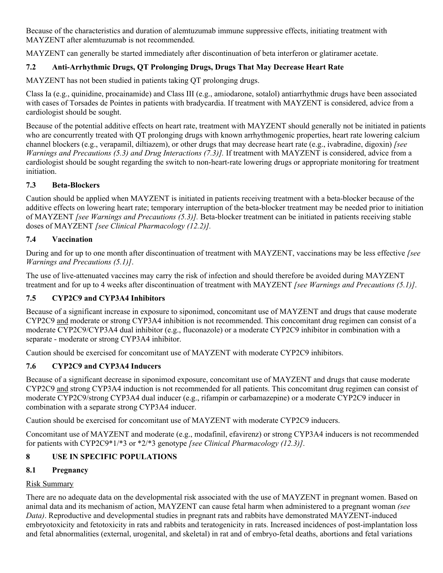Because of the characteristics and duration of alemtuzumab immune suppressive effects, initiating treatment with MAYZENT after alemtuzumab is not recommended.

MAYZENT can generally be started immediately after discontinuation of beta interferon or glatiramer acetate.

### <span id="page-18-0"></span>**7.2 Anti-Arrhythmic Drugs, QT Prolonging Drugs, Drugs That May Decrease Heart Rate**

MAYZENT has not been studied in patients taking QT prolonging drugs.

Class Ia (e.g., quinidine, procainamide) and Class III (e.g., amiodarone, sotalol) antiarrhythmic drugs have been associated with cases of Torsades de Pointes in patients with bradycardia. If treatment with MAYZENT is considered, advice from a cardiologist should be sought.

Because of the potential additive effects on heart rate, treatment with MAYZENT should generally not be initiated in patients who are concurrently treated with QT prolonging drugs with known arrhythmogenic properties, heart rate lowering calcium channel blockers (e.g., verapamil, diltiazem), or other drugs that may decrease heart rate (e.g., ivabradine, digoxin) *[see Warnings and Precautions (5.3) and Drug Interactions (7.3)].* If treatment with MAYZENT is considered, advice from a cardiologist should be sought regarding the switch to non-heart-rate lowering drugs or appropriate monitoring for treatment initiation.

#### <span id="page-18-1"></span>**7.3 Beta-Blockers**

Caution should be applied when MAYZENT is initiated in patients receiving treatment with a beta-blocker because of the additive effects on lowering heart rate; temporary interruption of the beta-blocker treatment may be needed prior to initiation of MAYZENT *[see Warnings and Precautions (5.3)].* Beta-blocker treatment can be initiated in patients receiving stable doses of MAYZENT *[see Clinical Pharmacology (12.2)].*

#### <span id="page-18-2"></span>**7.4 Vaccination**

During and for up to one month after discontinuation of treatment with MAYZENT, vaccinations may be less effective *[see Warnings and Precautions (5.1)]*.

The use of live-attenuated vaccines may carry the risk of infection and should therefore be avoided during MAYZENT treatment and for up to 4 weeks after discontinuation of treatment with MAYZENT *[see Warnings and Precautions (5.1)]*.

### <span id="page-18-3"></span>**7.5 CYP2C9 and CYP3A4 Inhibitors**

Because of a significant increase in exposure to siponimod, concomitant use of MAYZENT and drugs that cause moderate CYP2C9 and moderate or strong CYP3A4 inhibition is not recommended. This concomitant drug regimen can consist of a moderate CYP2C9/CYP3A4 dual inhibitor (e.g., fluconazole) or a moderate CYP2C9 inhibitor in combination with a separate - moderate or strong CYP3A4 inhibitor.

Caution should be exercised for concomitant use of MAYZENT with moderate CYP2C9 inhibitors.

### <span id="page-18-4"></span>**7.6 CYP2C9 and CYP3A4 Inducers**

Because of a significant decrease in siponimod exposure, concomitant use of MAYZENT and drugs that cause moderate CYP2C9 and strong CYP3A4 induction is not recommended for all patients. This concomitant drug regimen can consist of moderate CYP2C9/strong CYP3A4 dual inducer (e.g., rifampin or carbamazepine) or a moderate CYP2C9 inducer in combination with a separate strong CYP3A4 inducer.

Caution should be exercised for concomitant use of MAYZENT with moderate CYP2C9 inducers.

Concomitant use of MAYZENT and moderate (e.g., modafinil, efavirenz) or strong CYP3A4 inducers is not recommended for patients with CYP2C9\*1/\*3 or \*2/\*3 genotype *[see Clinical Pharmacology (12.3)]*.

### <span id="page-18-5"></span>**8 USE IN SPECIFIC POPULATIONS**

### <span id="page-18-6"></span>**8.1 Pregnancy**

#### Risk Summary

There are no adequate data on the developmental risk associated with the use of MAYZENT in pregnant women. Based on animal data and its mechanism of action, MAYZENT can cause fetal harm when administered to a pregnant woman *(see Data)*. Reproductive and developmental studies in pregnant rats and rabbits have demonstrated MAYZENT-induced embryotoxicity and fetotoxicity in rats and rabbits and teratogenicity in rats. Increased incidences of post-implantation loss and fetal abnormalities (external, urogenital, and skeletal) in rat and of embryo-fetal deaths, abortions and fetal variations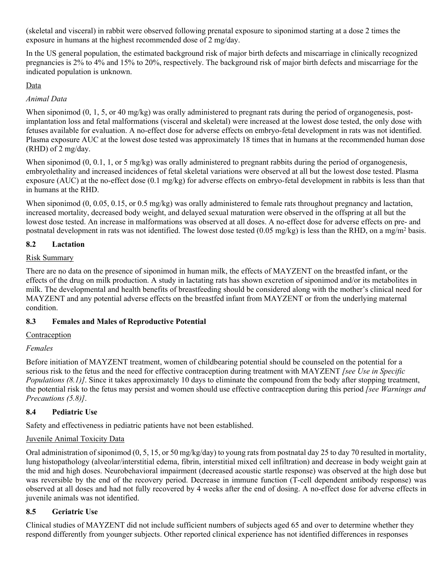(skeletal and visceral) in rabbit were observed following prenatal exposure to siponimod starting at a dose 2 times the exposure in humans at the highest recommended dose of 2 mg/day.

In the US general population, the estimated background risk of major birth defects and miscarriage in clinically recognized pregnancies is 2% to 4% and 15% to 20%, respectively. The background risk of major birth defects and miscarriage for the indicated population is unknown.

#### Data

#### *Animal Data*

When siponimod (0, 1, 5, or 40 mg/kg) was orally administered to pregnant rats during the period of organogenesis, postimplantation loss and fetal malformations (visceral and skeletal) were increased at the lowest dose tested, the only dose with fetuses available for evaluation. A no-effect dose for adverse effects on embryo-fetal development in rats was not identified. Plasma exposure AUC at the lowest dose tested was approximately 18 times that in humans at the recommended human dose (RHD) of 2 mg/day.

When siponimod  $(0, 0.1, 1,$  or 5 mg/kg) was orally administered to pregnant rabbits during the period of organogenesis, embryolethality and increased incidences of fetal skeletal variations were observed at all but the lowest dose tested. Plasma exposure (AUC) at the no-effect dose (0.1 mg/kg) for adverse effects on embryo-fetal development in rabbits is less than that in humans at the RHD.

When siponimod (0, 0.05, 0.15, or 0.5 mg/kg) was orally administered to female rats throughout pregnancy and lactation, increased mortality, decreased body weight, and delayed sexual maturation were observed in the offspring at all but the lowest dose tested. An increase in malformations was observed at all doses. A no-effect dose for adverse effects on pre- and postnatal development in rats was not identified. The lowest dose tested (0.05 mg/kg) is less than the RHD, on a mg/m<sup>2</sup> basis.

#### <span id="page-19-0"></span>**8.2 Lactation**

#### Risk Summary

There are no data on the presence of siponimod in human milk, the effects of MAYZENT on the breastfed infant, or the effects of the drug on milk production. A study in lactating rats has shown excretion of siponimod and/or its metabolites in milk. The developmental and health benefits of breastfeeding should be considered along with the mother's clinical need for MAYZENT and any potential adverse effects on the breastfed infant from MAYZENT or from the underlying maternal condition.

#### <span id="page-19-1"></span>**8.3 Females and Males of Reproductive Potential**

#### Contraception

#### *Females*

Before initiation of MAYZENT treatment, women of childbearing potential should be counseled on the potential for a serious risk to the fetus and the need for effective contraception during treatment with MAYZENT *[see Use in Specific Populations (8.1)]*. Since it takes approximately 10 days to eliminate the compound from the body after stopping treatment, the potential risk to the fetus may persist and women should use effective contraception during this period *[see Warnings and Precautions (5.8)]*.

#### <span id="page-19-2"></span>**8.4 Pediatric Use**

Safety and effectiveness in pediatric patients have not been established.

#### Juvenile Animal Toxicity Data

Oral administration of siponimod (0, 5, 15, or 50 mg/kg/day) to young rats from postnatal day 25 to day 70 resulted in mortality, lung histopathology (alveolar/interstitial edema, fibrin, interstitial mixed cell infiltration) and decrease in body weight gain at the mid and high doses. Neurobehavioral impairment (decreased acoustic startle response) was observed at the high dose but was reversible by the end of the recovery period. Decrease in immune function (T-cell dependent antibody response) was observed at all doses and had not fully recovered by 4 weeks after the end of dosing. A no-effect dose for adverse effects in juvenile animals was not identified.

#### <span id="page-19-3"></span>**8.5 Geriatric Use**

Clinical studies of MAYZENT did not include sufficient numbers of subjects aged 65 and over to determine whether they respond differently from younger subjects. Other reported clinical experience has not identified differences in responses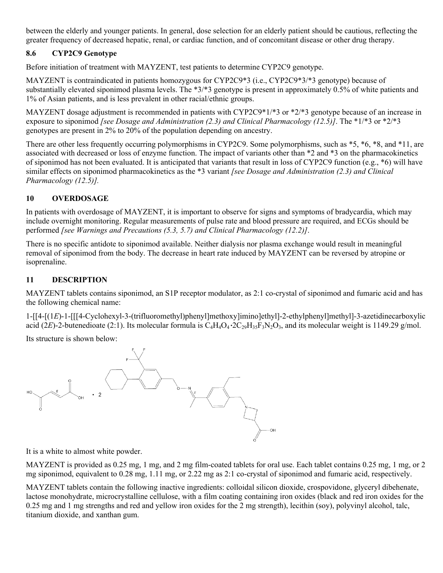between the elderly and younger patients. In general, dose selection for an elderly patient should be cautious, reflecting the greater frequency of decreased hepatic, renal, or cardiac function, and of concomitant disease or other drug therapy.

#### <span id="page-20-0"></span>**8.6 CYP2C9 Genotype**

Before initiation of treatment with MAYZENT, test patients to determine CYP2C9 genotype.

MAYZENT is contraindicated in patients homozygous for CYP2C9\*3 (i.e., CYP2C9\*3/\*3 genotype) because of substantially elevated siponimod plasma levels. The \*3/\*3 genotype is present in approximately 0.5% of white patients and 1% of Asian patients, and is less prevalent in other racial/ethnic groups.

MAYZENT dosage adjustment is recommended in patients with CYP2C9\*1/\*3 or \*2/\*3 genotype because of an increase in exposure to siponimod *[see Dosage and Administration (2.3) and Clinical Pharmacology (12.5)]*. The \*1/\*3 or \*2/\*3 genotypes are present in 2% to 20% of the population depending on ancestry.

There are other less frequently occurring polymorphisms in CYP2C9. Some polymorphisms, such as \*5, \*6, \*8, and \*11, are associated with decreased or loss of enzyme function. The impact of variants other than \*2 and \*3 on the pharmacokinetics of siponimod has not been evaluated. It is anticipated that variants that result in loss of CYP2C9 function (e.g., \*6) will have similar effects on siponimod pharmacokinetics as the \*3 variant *[see Dosage and Administration (2.3) and Clinical Pharmacology (12.5)].*

#### <span id="page-20-1"></span>**10 OVERDOSAGE**

In patients with overdosage of MAYZENT, it is important to observe for signs and symptoms of bradycardia, which may include overnight monitoring. Regular measurements of pulse rate and blood pressure are required, and ECGs should be performed *[see Warnings and Precautions (5.3, 5.7) and Clinical Pharmacology (12.2)]*.

There is no specific antidote to siponimod available. Neither dialysis nor plasma exchange would result in meaningful removal of siponimod from the body. The decrease in heart rate induced by MAYZENT can be reversed by atropine or isoprenaline.

#### <span id="page-20-2"></span>**11 DESCRIPTION**

MAYZENT tablets contains siponimod, an S1P receptor modulator, as 2:1 co-crystal of siponimod and fumaric acid and has the following chemical name:

1-[[4-[(1*E*)-1-[[[4-Cyclohexyl-3-(trifluoromethyl)phenyl]methoxy]imino]ethyl]-2-ethylphenyl]methyl]-3-azetidinecarboxylic acid (2*E*)-2-butenedioate (2:1). Its molecular formula is  $C_4H_4O_4 \cdot 2C_2 H_{35}F_3N_2O_3$ , and its molecular weight is 1149.29 g/mol.

Its structure is shown below:



It is a white to almost white powder.

MAYZENT is provided as 0.25 mg, 1 mg, and 2 mg film-coated tablets for oral use. Each tablet contains 0.25 mg, 1 mg, or 2 mg siponimod, equivalent to 0.28 mg, 1.11 mg, or 2.22 mg as 2:1 co-crystal of siponimod and fumaric acid, respectively.

MAYZENT tablets contain the following inactive ingredients: colloidal silicon dioxide, crospovidone, glyceryl dibehenate, lactose monohydrate, microcrystalline cellulose, with a film coating containing iron oxides (black and red iron oxides for the 0.25 mg and 1 mg strengths and red and yellow iron oxides for the 2 mg strength), lecithin (soy), polyvinyl alcohol, talc, titanium dioxide, and xanthan gum.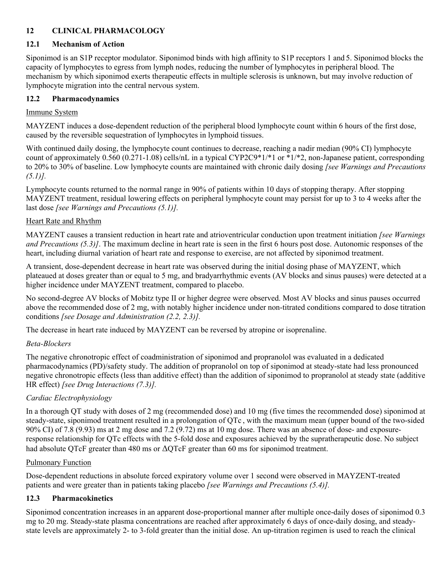#### <span id="page-21-0"></span>**12 CLINICAL PHARMACOLOGY**

#### <span id="page-21-1"></span>**12.1 Mechanism of Action**

Siponimod is an S1P receptor modulator. Siponimod binds with high affinity to S1P receptors 1 and 5. Siponimod blocks the capacity of lymphocytes to egress from lymph nodes, reducing the number of lymphocytes in peripheral blood. The mechanism by which siponimod exerts therapeutic effects in multiple sclerosis is unknown, but may involve reduction of lymphocyte migration into the central nervous system.

#### <span id="page-21-2"></span>**12.2 Pharmacodynamics**

#### Immune System

MAYZENT induces a dose-dependent reduction of the peripheral blood lymphocyte count within 6 hours of the first dose, caused by the reversible sequestration of lymphocytes in lymphoid tissues.

With continued daily dosing, the lymphocyte count continues to decrease, reaching a nadir median (90% CI) lymphocyte count of approximately  $0.560 (0.271-1.08)$  cells/nL in a typical CYP2C9\*1/\*1 or \*1/\*2, non-Japanese patient, corresponding to 20% to 30% of baseline. Low lymphocyte counts are maintained with chronic daily dosing *[see Warnings and Precautions (5.1)].* 

Lymphocyte counts returned to the normal range in 90% of patients within 10 days of stopping therapy. After stopping MAYZENT treatment, residual lowering effects on peripheral lymphocyte count may persist for up to 3 to 4 weeks after the last dose *[see Warnings and Precautions (5.1)].*

#### Heart Rate and Rhythm

MAYZENT causes a transient reduction in heart rate and atrioventricular conduction upon treatment initiation *[see Warnings and Precautions (5.3)]*. The maximum decline in heart rate is seen in the first 6 hours post dose. Autonomic responses of the heart, including diurnal variation of heart rate and response to exercise, are not affected by siponimod treatment.

A transient, dose-dependent decrease in heart rate was observed during the initial dosing phase of MAYZENT, which plateaued at doses greater than or equal to 5 mg, and bradyarrhythmic events (AV blocks and sinus pauses) were detected at a higher incidence under MAYZENT treatment, compared to placebo.

No second-degree AV blocks of Mobitz type II or higher degree were observed. Most AV blocks and sinus pauses occurred above the recommended dose of 2 mg, with notably higher incidence under non-titrated conditions compared to dose titration conditions *[see Dosage and Administration (2.2, 2.3)].* 

The decrease in heart rate induced by MAYZENT can be reversed by atropine or isoprenaline.

#### *Beta-Blockers*

The negative chronotropic effect of coadministration of siponimod and propranolol was evaluated in a dedicated pharmacodynamics (PD)/safety study. The addition of propranolol on top of siponimod at steady-state had less pronounced negative chronotropic effects (less than additive effect) than the addition of siponimod to propranolol at steady state (additive HR effect) *[see Drug Interactions (7.3)].*

#### *Cardiac Electrophysiology*

In a thorough QT study with doses of 2 mg (recommended dose) and 10 mg (five times the recommended dose) siponimod at steady-state, siponimod treatment resulted in a prolongation of QTc , with the maximum mean (upper bound of the two-sided 90% CI) of 7.8 (9.93) ms at 2 mg dose and 7.2 (9.72) ms at 10 mg dose. There was an absence of dose- and exposureresponse relationship for QTc effects with the 5-fold dose and exposures achieved by the supratherapeutic dose. No subject had absolute QTcF greater than 480 ms or ΔQTcF greater than 60 ms for siponimod treatment.

#### Pulmonary Function

Dose-dependent reductions in absolute forced expiratory volume over 1 second were observed in MAYZENT-treated patients and were greater than in patients taking placebo *[see Warnings and Precautions (5.4)].*

#### <span id="page-21-3"></span>**12.3 Pharmacokinetics**

Siponimod concentration increases in an apparent dose-proportional manner after multiple once-daily doses of siponimod 0.3 mg to 20 mg. Steady-state plasma concentrations are reached after approximately 6 days of once-daily dosing, and steadystate levels are approximately 2- to 3-fold greater than the initial dose. An up-titration regimen is used to reach the clinical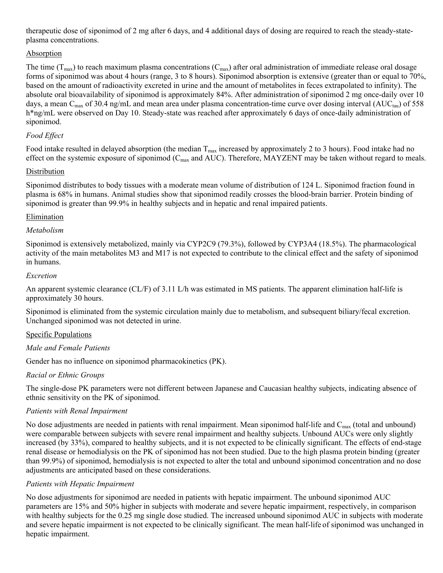therapeutic dose of siponimod of 2 mg after 6 days, and 4 additional days of dosing are required to reach the steady-stateplasma concentrations.

#### **Absorption**

The time  $(T_{max})$  to reach maximum plasma concentrations  $(C_{max})$  after oral administration of immediate release oral dosage forms of siponimod was about 4 hours (range, 3 to 8 hours). Siponimod absorption is extensive (greater than or equal to 70%, based on the amount of radioactivity excreted in urine and the amount of metabolites in feces extrapolated to infinity). The absolute oral bioavailability of siponimod is approximately 84%. After administration of siponimod 2 mg once-daily over 10 days, a mean  $C_{\text{max}}$  of 30.4 ng/mL and mean area under plasma concentration-time curve over dosing interval (AUC<sub>tau</sub>) of 558 h\*ng/mL were observed on Day 10. Steady-state was reached after approximately 6 days of once-daily administration of siponimod.

#### *Food Effect*

Food intake resulted in delayed absorption (the median  $T_{max}$  increased by approximately 2 to 3 hours). Food intake had no effect on the systemic exposure of siponimod  $(C_{\text{max}}$  and AUC). Therefore, MAYZENT may be taken without regard to meals.

#### Distribution

Siponimod distributes to body tissues with a moderate mean volume of distribution of 124 L. Siponimod fraction found in plasma is 68% in humans. Animal studies show that siponimod readily crosses the blood-brain barrier. Protein binding of siponimod is greater than 99.9% in healthy subjects and in hepatic and renal impaired patients.

#### Elimination

#### *Metabolism*

Siponimod is extensively metabolized, mainly via CYP2C9 (79.3%), followed by CYP3A4 (18.5%). The pharmacological activity of the main metabolites M3 and M17 is not expected to contribute to the clinical effect and the safety of siponimod in humans.

#### *Excretion*

An apparent systemic clearance (CL/F) of 3.11 L/h was estimated in MS patients. The apparent elimination half-life is approximately 30 hours.

Siponimod is eliminated from the systemic circulation mainly due to metabolism, and subsequent biliary/fecal excretion. Unchanged siponimod was not detected in urine.

#### Specific Populations

#### *Male and Female Patients*

Gender has no influence on siponimod pharmacokinetics (PK).

#### *Racial or Ethnic Groups*

The single-dose PK parameters were not different between Japanese and Caucasian healthy subjects, indicating absence of ethnic sensitivity on the PK of siponimod.

#### *Patients with Renal Impairment*

No dose adjustments are needed in patients with renal impairment. Mean siponimod half-life and  $C_{\text{max}}$  (total and unbound) were comparable between subjects with severe renal impairment and healthy subjects. Unbound AUCs were only slightly increased (by 33%), compared to healthy subjects, and it is not expected to be clinically significant. The effects of end-stage renal disease or hemodialysis on the PK of siponimod has not been studied. Due to the high plasma protein binding (greater than 99.9%) of siponimod, hemodialysis is not expected to alter the total and unbound siponimod concentration and no dose adjustments are anticipated based on these considerations.

#### *Patients with Hepatic Impairment*

No dose adjustments for siponimod are needed in patients with hepatic impairment. The unbound siponimod AUC parameters are 15% and 50% higher in subjects with moderate and severe hepatic impairment, respectively, in comparison with healthy subjects for the 0.25 mg single dose studied. The increased unbound siponimod AUC in subjects with moderate and severe hepatic impairment is not expected to be clinically significant. The mean half-life of siponimod was unchanged in hepatic impairment.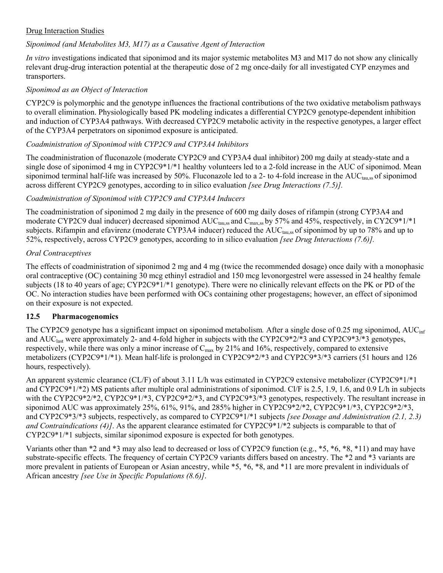#### Drug Interaction Studies

#### *Siponimod (and Metabolites M3, M17) as a Causative Agent of Interaction*

*In vitro* investigations indicated that siponimod and its major systemic metabolites M3 and M17 do not show any clinically relevant drug-drug interaction potential at the therapeutic dose of 2 mg once-daily for all investigated CYP enzymes and transporters.

#### *Siponimod as an Object of Interaction*

CYP2C9 is polymorphic and the genotype influences the fractional contributions of the two oxidative metabolism pathways to overall elimination. Physiologically based PK modeling indicates a differential CYP2C9 genotype-dependent inhibition and induction of CYP3A4 pathways. With decreased CYP2C9 metabolic activity in the respective genotypes, a larger effect of the CYP3A4 perpetrators on siponimod exposure is anticipated.

#### *Coadministration of Siponimod with CYP2C9 and CYP3A4 Inhibitors*

The coadministration of fluconazole (moderate CYP2C9 and CYP3A4 dual inhibitor) 200 mg daily at steady-state and a single dose of siponimod 4 mg in CYP2C9\*1/\*1 healthy volunteers led to a 2-fold increase in the AUC of siponimod. Mean siponimod terminal half-life was increased by 50%. Fluconazole led to a 2- to 4-fold increase in the  $AUC_{tan}$  sof siponimod across different CYP2C9 genotypes, according to in silico evaluation *[see Drug Interactions (7.5)].*

#### *Coadministration of Siponimod with CYP2C9 and CYP3A4 Inducers*

The coadministration of siponimod 2 mg daily in the presence of 600 mg daily doses of rifampin (strong CYP3A4 and moderate CYP2C9 dual inducer) decreased siponimod AUC<sub>tau,ss</sub> and C<sub>max,ss</sub> by 57% and 45%, respectively, in CY2C9\*1/\*1 subjects. Rifampin and efavirenz (moderate CYP3A4 inducer) reduced the AUC<sub>tau,ss</sub> of siponimod by up to 78% and up to 52%, respectively, across CYP2C9 genotypes, according to in silico evaluation *[see Drug Interactions (7.6)].*

#### *Oral Contraceptives*

The effects of coadministration of siponimod 2 mg and 4 mg (twice the recommended dosage) once daily with a monophasic oral contraceptive (OC) containing 30 mcg ethinyl estradiol and 150 mcg levonorgestrel were assessed in 24 healthy female subjects (18 to 40 years of age; CYP2C9\*1/\*1 genotype). There were no clinically relevant effects on the PK or PD of the OC. No interaction studies have been performed with OCs containing other progestagens; however, an effect of siponimod on their exposure is not expected.

#### <span id="page-23-0"></span>**12.5 Pharmacogenomics**

The CYP2C9 genotype has a significant impact on siponimod metabolism*.* After a single dose of 0.25 mg siponimod, AUCinf and AUC<sub>last</sub> were approximately 2- and 4-fold higher in subjects with the CYP2C9\*2/\*3 and CYP2C9\*3/\*3 genotypes, respectively, while there was only a minor increase of  $C_{\text{max}}$  by 21% and 16%, respectively, compared to extensive metabolizers (CYP2C9\*1/\*1). Mean half-life is prolonged in CYP2C9\*2/\*3 and CYP2C9\*3/\*3 carriers (51 hours and 126 hours, respectively).

An apparent systemic clearance (CL/F) of about 3.11 L/h was estimated in CYP2C9 extensive metabolizer (CYP2C9\*1/\*1 and CYP2C9\*1/\*2) MS patients after multiple oral administrations of siponimod. Cl/F is 2.5, 1.9, 1.6, and 0.9 L/h in subjects with the CYP2C9\*2/\*2, CYP2C9\*1/\*3, CYP2C9\*2/\*3, and CYP2C9\*3/\*3 genotypes, respectively. The resultant increase in siponimod AUC was approximately 25%, 61%, 91%, and 285% higher in CYP2C9\*2/\*2, CYP2C9\*1/\*3, CYP2C9\*2/\*3, and CYP2C9\*3/\*3 subjects, respectively, as compared to CYP2C9\*1/\*1 subjects *[see Dosage and Administration (2.1, 2.3) and Contraindications (4)]*. As the apparent clearance estimated for CYP2C9\*1/\*2 subjects is comparable to that of CYP2C9\*1/\*1 subjects, similar siponimod exposure is expected for both genotypes.

Variants other than \*2 and \*3 may also lead to decreased or loss of CYP2C9 function (e.g., \*5, \*6, \*8, \*11) and may have substrate-specific effects. The frequency of certain CYP2C9 variants differs based on ancestry. The \*2 and \*3 variants are more prevalent in patients of European or Asian ancestry, while \*5, \*6, \*8, and \*11 are more prevalent in individuals of African ancestry *[see Use in Specific Populations (8.6)]*.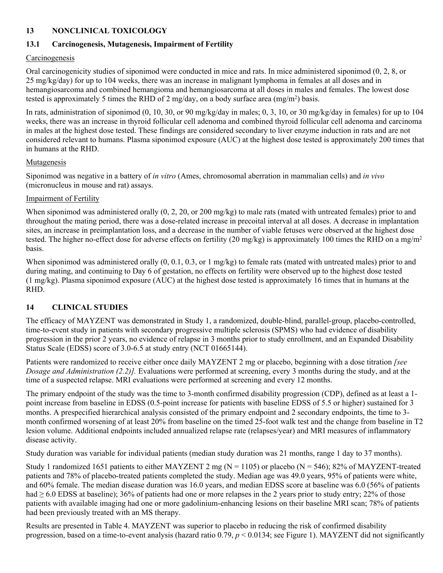#### <span id="page-24-0"></span>**13 NONCLINICAL TOXICOLOGY**

#### <span id="page-24-1"></span>**13.1 Carcinogenesis, Mutagenesis, Impairment of Fertility**

#### **Carcinogenesis**

Oral carcinogenicity studies of siponimod were conducted in mice and rats. In mice administered siponimod (0, 2, 8, or 25 mg/kg/day) for up to 104 weeks, there was an increase in malignant lymphoma in females at all doses and in hemangiosarcoma and combined hemangioma and hemangiosarcoma at all doses in males and females. The lowest dose tested is approximately 5 times the RHD of 2 mg/day, on a body surface area  $(mg/m<sup>2</sup>)$  basis.

In rats, administration of siponimod (0, 10, 30, or 90 mg/kg/day in males; 0, 3, 10, or 30 mg/kg/day in females) for up to 104 weeks, there was an increase in thyroid follicular cell adenoma and combined thyroid follicular cell adenoma and carcinoma in males at the highest dose tested. These findings are considered secondary to liver enzyme induction in rats and are not considered relevant to humans. Plasma siponimod exposure (AUC) at the highest dose tested is approximately 200 times that in humans at the RHD.

#### Mutagenesis

Siponimod was negative in a battery of *in vitro* (Ames, chromosomal aberration in mammalian cells) and *in vivo* (micronucleus in mouse and rat) assays.

#### Impairment of Fertility

When siponimod was administered orally (0, 2, 20, or 200 mg/kg) to male rats (mated with untreated females) prior to and throughout the mating period, there was a dose-related increase in precoital interval at all doses. A decrease in implantation sites, an increase in preimplantation loss, and a decrease in the number of viable fetuses were observed at the highest dose tested. The higher no-effect dose for adverse effects on fertility (20 mg/kg) is approximately 100 times the RHD on a mg/m<sup>2</sup> basis.

When siponimod was administered orally  $(0, 0.1, 0.3, \text{ or } 1 \text{ mg/kg})$  to female rats (mated with untreated males) prior to and during mating, and continuing to Day 6 of gestation, no effects on fertility were observed up to the highest dose tested (1 mg/kg). Plasma siponimod exposure (AUC) at the highest dose tested is approximately 16 times that in humans at the RHD.

#### <span id="page-24-2"></span>**14 CLINICAL STUDIES**

The efficacy of MAYZENT was demonstrated in Study 1, a randomized, double-blind, parallel-group, placebo-controlled, time-to-event study in patients with secondary progressive multiple sclerosis (SPMS) who had evidence of disability progression in the prior 2 years, no evidence of relapse in 3 months prior to study enrollment, and an Expanded Disability Status Scale (EDSS) score of 3.0-6.5 at study entry (NCT 01665144).

Patients were randomized to receive either once daily MAYZENT 2 mg or placebo, beginning with a dose titration *[see Dosage and Administration (2.2)].* Evaluations were performed at screening, every 3 months during the study, and at the time of a suspected relapse. MRI evaluations were performed at screening and every 12 months.

The primary endpoint of the study was the time to 3-month confirmed disability progression (CDP), defined as at least a 1 point increase from baseline in EDSS (0.5-point increase for patients with baseline EDSS of 5.5 or higher) sustained for 3 months. A prespecified hierarchical analysis consisted of the primary endpoint and 2 secondary endpoints, the time to 3 month confirmed worsening of at least 20% from baseline on the timed 25-foot walk test and the change from baseline in T2 lesion volume. Additional endpoints included annualized relapse rate (relapses/year) and MRI measures of inflammatory disease activity.

Study duration was variable for individual patients (median study duration was 21 months, range 1 day to 37 months).

Study 1 randomized 1651 patients to either MAYZENT 2 mg ( $N = 1105$ ) or placebo ( $N = 546$ ); 82% of MAYZENT-treated patients and 78% of placebo-treated patients completed the study. Median age was 49.0 years, 95% of patients were white, and 60% female. The median disease duration was 16.0 years, and median EDSS score at baseline was 6.0 (56% of patients had  $\geq 6.0$  EDSS at baseline); 36% of patients had one or more relapses in the 2 years prior to study entry; 22% of those patients with available imaging had one or more gadolinium-enhancing lesions on their baseline MRI scan; 78% of patients had been previously treated with an MS therapy.

Results are presented in Table 4. MAYZENT was superior to placebo in reducing the risk of confirmed disability progression, based on a time-to-event analysis (hazard ratio 0.79, *p* < 0.0134; see Figure 1). MAYZENT did not significantly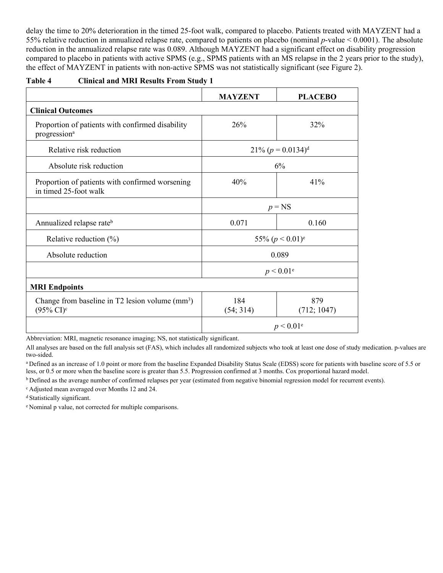delay the time to 20% deterioration in the timed 25-foot walk, compared to placebo. Patients treated with MAYZENT had a 55% relative reduction in annualized relapse rate, compared to patients on placebo (nominal *p*-value < 0.0001). The absolute reduction in the annualized relapse rate was 0.089. Although MAYZENT had a significant effect on disability progression compared to placebo in patients with active SPMS (e.g., SPMS patients with an MS relapse in the 2 years prior to the study), the effect of MAYZENT in patients with non-active SPMS was not statistically significant (see Figure 2).

| Table 4 | <b>Clinical and MRI Results From Study 1</b> |  |
|---------|----------------------------------------------|--|
|         |                                              |  |

|                                                                                        | <b>MAYZENT</b>                | <b>PLACEBO</b>        |
|----------------------------------------------------------------------------------------|-------------------------------|-----------------------|
| <b>Clinical Outcomes</b>                                                               |                               |                       |
| Proportion of patients with confirmed disability<br>progression <sup>a</sup>           | 26%                           | 32%                   |
| Relative risk reduction                                                                |                               | $21\% (p = 0.0134)^d$ |
| Absolute risk reduction                                                                |                               | 6%                    |
| Proportion of patients with confirmed worsening<br>in timed 25-foot walk               | 40%                           | 41%                   |
|                                                                                        |                               | $p = NS$              |
| Annualized relapse rateb                                                               | 0.071                         | 0.160                 |
| Relative reduction $(\%)$                                                              | 55% $(p < 0.01)$ <sup>e</sup> |                       |
| Absolute reduction                                                                     | 0.089                         |                       |
|                                                                                        |                               | $p < 0.01^e$          |
| <b>MRI</b> Endpoints                                                                   |                               |                       |
| Change from baseline in $T2$ lesion volume (mm <sup>3</sup> )<br>$(95\% \text{ CI})^c$ | 184<br>(54; 314)              | 879<br>(712; 1047)    |
|                                                                                        |                               | $p < 0.01^e$          |

Abbreviation: MRI, magnetic resonance imaging; NS, not statistically significant.

All analyses are based on the full analysis set (FAS), which includes all randomized subjects who took at least one dose of study medication. p-values are two-sided.

<sup>a</sup>Defined as an increase of 1.0 point or more from the baseline Expanded Disability Status Scale (EDSS) score for patients with baseline score of 5.5 or less, or 0.5 or more when the baseline score is greater than 5.5. Progression confirmed at 3 months. Cox proportional hazard model.

**b** Defined as the average number of confirmed relapses per year (estimated from negative binomial regression model for recurrent events).

<sup>c</sup>Adjusted mean averaged over Months 12 and 24.

<sup>d</sup> Statistically significant.

e Nominal p value, not corrected for multiple comparisons.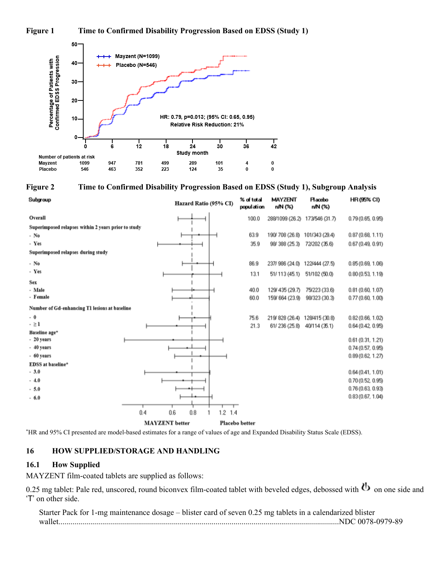#### **Figure 1 Time to Confirmed Disability Progression Based on EDSS (Study 1)**



#### **Figure 2 Time to Confirmed Disability Progression Based on EDSS (Study 1), Subgroup Analysis**

| Subgroup                                            |                       | Hazard Ratio (95% CI) | % of total<br>population | <b>MAYZENT</b><br>n/N (%)      | <b>Hacebo</b><br>n/N (%) | <b>HR (95% CI)</b> |
|-----------------------------------------------------|-----------------------|-----------------------|--------------------------|--------------------------------|--------------------------|--------------------|
| Overall                                             |                       |                       | 100.0                    | 288/1099 (26.2) 173/546 (31.7) |                          | 0.79(0.65, 0.95)   |
| Superimposed relapses within 2 years prior to study |                       |                       |                          |                                |                          |                    |
| - No                                                |                       |                       | 63.9                     | 190/708 (26.8)                 | 101/343 (29.4)           | 0.87(0.68, 1.11)   |
| - Yes                                               |                       |                       | 35.9                     | 98/388 (25.3)                  | 72/202 (35.6)            | 0.67(0.49, 0.91)   |
| Superimposed relapses during study                  |                       |                       |                          |                                |                          |                    |
| - No                                                |                       |                       | 86.9                     | 237/986 (24.0) 122/444 (27.5)  |                          | 0.85(0.69, 1.06)   |
| - Yes                                               |                       |                       | 13.1                     | 51/113 (45.1)                  | 51/102 (50.0)            | 0.80(0.53, 1.19)   |
| Sex                                                 |                       |                       |                          |                                |                          |                    |
| - Male                                              |                       |                       | 40.0                     | 129/435 (29.7)                 | 75/223 (33.6)            | 0.81(0.60, 1.07)   |
| - Female                                            |                       |                       | 60.0                     | 159/664 (23.9)                 | 98/323 (30.3)            | 0.77(0.60, 1.00)   |
| Number of Gd-enhancing T1 lesions at baseline       |                       |                       |                          |                                |                          |                    |
| $-0$                                                |                       |                       | 75.6                     | 219/828 (26.4) 128/415 (30.8)  |                          | 0.82(0.66, 1.02)   |
| $- \geq 1$                                          |                       |                       | 21.3                     | 61/236 (25.8)                  | 40/114 (35.1)            | 0.64(0.42, 0.95)   |
| Baseline age*                                       |                       |                       |                          |                                |                          |                    |
| - 20 years                                          |                       |                       |                          |                                |                          | 0.61(0.31, 1.21)   |
| - 40 years                                          |                       |                       |                          |                                |                          | 0.74(0.57, 0.95)   |
| - 60 years                                          |                       |                       |                          |                                |                          | 0.89(0.62, 1.27)   |
| EDSS at baseline*                                   |                       |                       |                          |                                |                          |                    |
| $-3.0$                                              |                       |                       |                          |                                |                          | 0.64(0.41, 1.01)   |
| $-4.0$                                              |                       |                       |                          |                                |                          | 0.70(0.52, 0.95)   |
| $-5.0$                                              |                       |                       |                          |                                |                          | 0.76(0.63, 0.93)   |
| $-6.0$                                              |                       |                       |                          |                                |                          | 0.83(0.67, 1.04)   |
|                                                     | 0.8<br>0.4<br>0.6     | $1.2$ 1.4             |                          |                                |                          |                    |
|                                                     |                       |                       |                          |                                |                          |                    |
|                                                     | <b>MAYZENT</b> better |                       | Placebo better           |                                |                          |                    |

<span id="page-26-0"></span>\*HR and 95% CI presented are model-based estimates for a range of values of age and Expanded Disability Status Scale (EDSS).

#### **16 HOW SUPPLIED/STORAGE AND HANDLING**

#### <span id="page-26-1"></span>**16.1 How Supplied**

MAYZENT film-coated tablets are supplied as follows:

0.25 mg tablet: Pale red, unscored, round biconvex film-coated tablet with beveled edges, debossed with  $\Phi$  on one side and 'T' on other side.

Starter Pack for 1-mg maintenance dosage – blister card of seven 0.25 mg tablets in a calendarized blister wallet.............................................................................................................................................NDC 0078-0979-89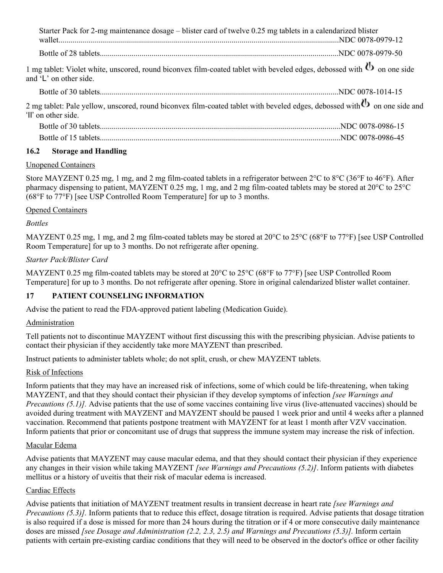Starter Pack for 2-mg maintenance dosage – blister card of twelve 0.25 mg tablets in a calendarized blister wallet.............................................................................................................................................NDC 0078-0979-12 Bottle of 28 tablets........................................................................................................................NDC 0078-0979-50

1 mg tablet: Violet white, unscored, round biconvex film-coated tablet with beveled edges, debossed with  $\bf{b}$  on one side and 'L' on other side.

Bottle of 30 tablets........................................................................................................................NDC 0078-1014-15

2 mg tablet: Pale yellow, unscored, round biconvex film-coated tablet with beveled edges, debossed with  $\Phi$  on one side and 'II' on other side.

#### <span id="page-27-0"></span>**16.2 Storage and Handling**

#### Unopened Containers

Store MAYZENT 0.25 mg, 1 mg, and 2 mg film-coated tablets in a refrigerator between 2°C to 8°C (36°F to 46°F). After pharmacy dispensing to patient, MAYZENT 0.25 mg, 1 mg, and 2 mg film-coated tablets may be stored at 20°C to 25°C (68°F to 77°F) [see USP Controlled Room Temperature] for up to 3 months.

#### Opened Containers

#### *Bottles*

MAYZENT 0.25 mg, 1 mg, and 2 mg film-coated tablets may be stored at 20°C to 25°C (68°F to 77°F) [see USP Controlled Room Temperature] for up to 3 months. Do not refrigerate after opening.

#### *Starter Pack/Blister Card*

MAYZENT 0.25 mg film-coated tablets may be stored at 20°C to 25°C (68°F to 77°F) [see USP Controlled Room Temperature] for up to 3 months. Do not refrigerate after opening. Store in original calendarized blister wallet container.

#### <span id="page-27-1"></span>**17 PATIENT COUNSELING INFORMATION**

Advise the patient to read the FDA-approved patient labeling (Medication Guide).

#### Administration

Tell patients not to discontinue MAYZENT without first discussing this with the prescribing physician. Advise patients to contact their physician if they accidently take more MAYZENT than prescribed.

Instruct patients to administer tablets whole; do not split, crush, or chew MAYZENT tablets.

#### Risk of Infections

Inform patients that they may have an increased risk of infections, some of which could be life-threatening, when taking MAYZENT, and that they should contact their physician if they develop symptoms of infection *[see Warnings and Precautions (5.1)].* Advise patients that the use of some vaccines containing live virus (live-attenuated vaccines) should be avoided during treatment with MAYZENT and MAYZENT should be paused 1 week prior and until 4 weeks after a planned vaccination. Recommend that patients postpone treatment with MAYZENT for at least 1 month after VZV vaccination. Inform patients that prior or concomitant use of drugs that suppress the immune system may increase the risk of infection.

#### Macular Edema

Advise patients that MAYZENT may cause macular edema, and that they should contact their physician if they experience any changes in their vision while taking MAYZENT *[see Warnings and Precautions (5.2)]*. Inform patients with diabetes mellitus or a history of uveitis that their risk of macular edema is increased.

#### Cardiac Effects

Advise patients that initiation of MAYZENT treatment results in transient decrease in heart rate *[see Warnings and Precautions (5.3)].* Inform patients that to reduce this effect, dosage titration is required. Advise patients that dosage titration is also required if a dose is missed for more than 24 hours during the titration or if 4 or more consecutive daily maintenance doses are missed *[see Dosage and Administration (2.2, 2.3, 2.5) and Warnings and Precautions (5.3)].* Inform certain patients with certain pre-existing cardiac conditions that they will need to be observed in the doctor's office or other facility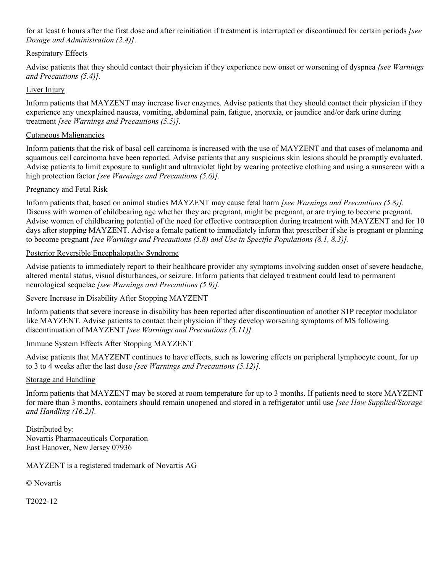for at least 6 hours after the first dose and after reinitiation if treatment is interrupted or discontinued for certain periods *[see Dosage and Administration (2.4)]*.

#### Respiratory Effects

Advise patients that they should contact their physician if they experience new onset or worsening of dyspnea *[see Warnings and Precautions (5.4)].*

#### Liver Injury

Inform patients that MAYZENT may increase liver enzymes. Advise patients that they should contact their physician if they experience any unexplained nausea, vomiting, abdominal pain, fatigue, anorexia, or jaundice and/or dark urine during treatment *[see Warnings and Precautions (5.5)].*

#### Cutaneous Malignancies

Inform patients that the risk of basal cell carcinoma is increased with the use of MAYZENT and that cases of melanoma and squamous cell carcinoma have been reported. Advise patients that any suspicious skin lesions should be promptly evaluated. Advise patients to limit exposure to sunlight and ultraviolet light by wearing protective clothing and using a sunscreen with a high protection factor *[see Warnings and Precautions (5.6)]*.

#### Pregnancy and Fetal Risk

Inform patients that, based on animal studies MAYZENT may cause fetal harm *[see Warnings and Precautions (5.8)].* Discuss with women of childbearing age whether they are pregnant, might be pregnant, or are trying to become pregnant. Advise women of childbearing potential of the need for effective contraception during treatment with MAYZENT and for 10 days after stopping MAYZENT. Advise a female patient to immediately inform that prescriber if she is pregnant or planning to become pregnant *[see Warnings and Precautions (5.8) and Use in Specific Populations (8.1, 8.3)]*.

#### Posterior Reversible Encephalopathy Syndrome

Advise patients to immediately report to their healthcare provider any symptoms involving sudden onset of severe headache, altered mental status, visual disturbances, or seizure. Inform patients that delayed treatment could lead to permanent neurological sequelae *[see Warnings and Precautions (5.9)].*

#### Severe Increase in Disability After Stopping MAYZENT

Inform patients that severe increase in disability has been reported after discontinuation of another S1P receptor modulator like MAYZENT. Advise patients to contact their physician if they develop worsening symptoms of MS following discontinuation of MAYZENT *[see Warnings and Precautions (5.11)].*

#### Immune System Effects After Stopping MAYZENT

Advise patients that MAYZENT continues to have effects, such as lowering effects on peripheral lymphocyte count, for up to 3 to 4 weeks after the last dose *[see Warnings and Precautions (5.12)].*

#### Storage and Handling

Inform patients that MAYZENT may be stored at room temperature for up to 3 months. If patients need to store MAYZENT for more than 3 months, containers should remain unopened and stored in a refrigerator until use *[see How Supplied/Storage and Handling (16.2)].*

Distributed by: Novartis Pharmaceuticals Corporation East Hanover, New Jersey 07936

MAYZENT is a registered trademark of Novartis AG

© Novartis

T2022-12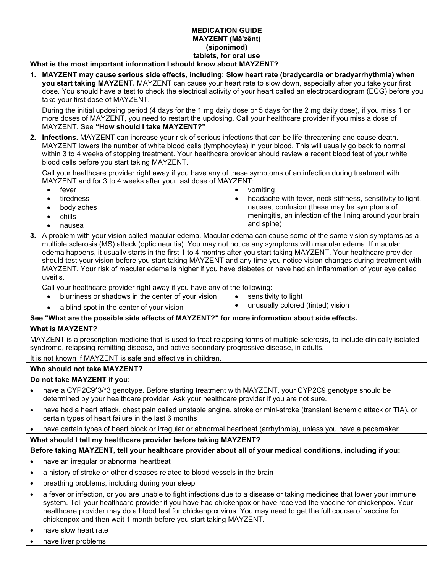#### **MEDICATION GUIDE MAYZENT (Māʹzĕnt) (siponimod) tablets, for oral use**

#### **What is the most important information I should know about MAYZENT?**

**1. MAYZENT may cause serious side effects, including: Slow heart rate (bradycardia or bradyarrhythmia) when you start taking MAYZENT.** MAYZENT can cause your heart rate to slow down, especially after you take your first dose. You should have a test to check the electrical activity of your heart called an electrocardiogram (ECG) before you take your first dose of MAYZENT.

During the initial updosing period (4 days for the 1 mg daily dose or 5 days for the 2 mg daily dose), if you miss 1 or more doses of MAYZENT, you need to restart the updosing. Call your healthcare provider if you miss a dose of MAYZENT. See **"How should I take MAYZENT?"**

**2. Infections.** MAYZENT can increase your risk of serious infections that can be life-threatening and cause death. MAYZENT lowers the number of white blood cells (lymphocytes) in your blood. This will usually go back to normal within 3 to 4 weeks of stopping treatment. Your healthcare provider should review a recent blood test of your white blood cells before you start taking MAYZENT.

Call your healthcare provider right away if you have any of these symptoms of an infection during treatment with MAYZENT and for 3 to 4 weeks after your last dose of MAYZENT:

- 
- tiredness
- body aches
- chills
- nausea
- fever **by the contract of the contract of the contract of the contract of the contract of the contract of the contract of the contract of the contract of the contract of the contract of the contract of the contract of the** 
	- headache with fever, neck stiffness, sensitivity to light, nausea, confusion (these may be symptoms of meningitis, an infection of the lining around your brain and spine)
- **3.** A problem with your vision called macular edema. Macular edema can cause some of the same vision symptoms as a multiple sclerosis (MS) attack (optic neuritis). You may not notice any symptoms with macular edema. If macular edema happens, it usually starts in the first 1 to 4 months after you start taking MAYZENT. Your healthcare provider should test your vision before you start taking MAYZENT and any time you notice vision changes during treatment with MAYZENT. Your risk of macular edema is higher if you have diabetes or have had an inflammation of your eye called uveitis.

Call your healthcare provider right away if you have any of the following:

- blurriness or shadows in the center of your vision  $\bullet$  sensitivity to light
- a blind spot in the center of your vision unusually colored (tinted) vision
- 

#### **See "What are the possible side effects of MAYZENT?" for more information about side effects.**

#### **What is MAYZENT?**

MAYZENT is a prescription medicine that is used to treat relapsing forms of multiple sclerosis, to include clinically isolated syndrome, relapsing-remitting disease, and active secondary progressive disease, in adults.

It is not known if MAYZENT is safe and effective in children.

#### **Who should not take MAYZENT?**

#### **Do not take MAYZENT if you:**

- have a CYP2C9\*3/\*3 genotype. Before starting treatment with MAYZENT, your CYP2C9 genotype should be determined by your healthcare provider. Ask your healthcare provider if you are not sure.
- have had a heart attack, chest pain called unstable angina, stroke or mini-stroke (transient ischemic attack or TIA), or certain types of heart failure in the last 6 months
- have certain types of heart block or irregular or abnormal heartbeat (arrhythmia), unless you have a pacemaker

#### **What should I tell my healthcare provider before taking MAYZENT?**

#### **Before taking MAYZENT, tell your healthcare provider about all of your medical conditions, including if you:**

- have an irregular or abnormal heartbeat
- a history of stroke or other diseases related to blood vessels in the brain
- breathing problems, including during your sleep
- a fever or infection, or you are unable to fight infections due to a disease or taking medicines that lower your immune system. Tell your healthcare provider if you have had chickenpox or have received the vaccine for chickenpox. Your healthcare provider may do a blood test for chickenpox virus. You may need to get the full course of vaccine for chickenpox and then wait 1 month before you start taking MAYZENT**.**
- have slow heart rate
- have liver problems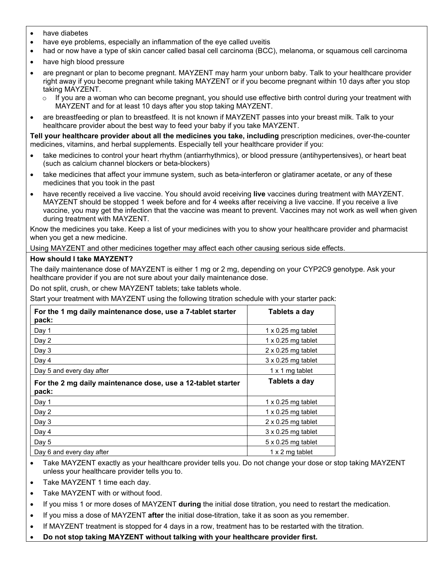- have diabetes
- have eye problems, especially an inflammation of the eye called uveitis
- had or now have a type of skin cancer called basal cell carcinoma (BCC), melanoma, or squamous cell carcinoma
- have high blood pressure
- are pregnant or plan to become pregnant. MAYZENT may harm your unborn baby. Talk to your healthcare provider right away if you become pregnant while taking MAYZENT or if you become pregnant within 10 days after you stop taking MAYZENT.
	- $\circ$  If you are a woman who can become pregnant, you should use effective birth control during your treatment with MAYZENT and for at least 10 days after you stop taking MAYZENT.
- are breastfeeding or plan to breastfeed. It is not known if MAYZENT passes into your breast milk. Talk to your healthcare provider about the best way to feed your baby if you take MAYZENT.

**Tell your healthcare provider about all the medicines you take, including** prescription medicines, over-the-counter medicines, vitamins, and herbal supplements. Especially tell your healthcare provider if you:

- take medicines to control your heart rhythm (antiarrhythmics), or blood pressure (antihypertensives), or heart beat (such as calcium channel blockers or beta-blockers)
- take medicines that affect your immune system, such as beta-interferon or glatiramer acetate, or any of these medicines that you took in the past
- have recently received a live vaccine. You should avoid receiving **live** vaccines during treatment with MAYZENT. MAYZENT should be stopped 1 week before and for 4 weeks after receiving a live vaccine. If you receive a live vaccine, you may get the infection that the vaccine was meant to prevent. Vaccines may not work as well when given during treatment with MAYZENT.

Know the medicines you take. Keep a list of your medicines with you to show your healthcare provider and pharmacist when you get a new medicine.

Using MAYZENT and other medicines together may affect each other causing serious side effects.

#### **How should I take MAYZENT?**

The daily maintenance dose of MAYZENT is either 1 mg or 2 mg, depending on your CYP2C9 genotype. Ask your healthcare provider if you are not sure about your daily maintenance dose.

Do not split, crush, or chew MAYZENT tablets; take tablets whole.

Start your treatment with MAYZENT using the following titration schedule with your starter pack:

| For the 1 mg daily maintenance dose, use a 7-tablet starter<br>pack:  | Tablets a day             |
|-----------------------------------------------------------------------|---------------------------|
| Day 1                                                                 | $1 \times 0.25$ mg tablet |
| Day 2                                                                 | $1 \times 0.25$ mg tablet |
| Day 3                                                                 | $2 \times 0.25$ mg tablet |
| Day 4                                                                 | $3 \times 0.25$ mg tablet |
| Day 5 and every day after                                             | 1 x 1 mg tablet           |
| For the 2 mg daily maintenance dose, use a 12-tablet starter<br>pack: | Tablets a day             |
| Day 1                                                                 | $1 \times 0.25$ mg tablet |
| Day 2                                                                 | $1 \times 0.25$ mg tablet |
| Day 3                                                                 | $2 \times 0.25$ mg tablet |
| Day 4                                                                 | $3 \times 0.25$ mg tablet |
| Day 5                                                                 | $5 \times 0.25$ mg tablet |
| Day 6 and every day after                                             | 1 x 2 mg tablet           |

- Take MAYZENT exactly as your healthcare provider tells you. Do not change your dose or stop taking MAYZENT unless your healthcare provider tells you to.
- Take MAYZENT 1 time each day.
- Take MAYZENT with or without food.
- If you miss 1 or more doses of MAYZENT **during** the initial dose titration, you need to restart the medication.
- If you miss a dose of MAYZENT **after** the initial dose-titration, take it as soon as you remember.
- If MAYZENT treatment is stopped for 4 days in a row, treatment has to be restarted with the titration.
- **Do not stop taking MAYZENT without talking with your healthcare provider first.**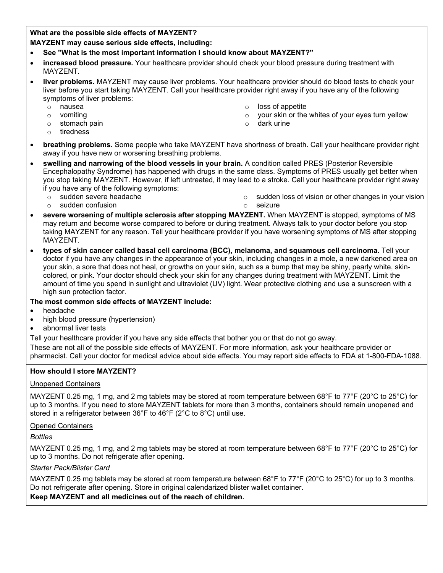#### **What are the possible side effects of MAYZENT?**

**MAYZENT may cause serious side effects, including:**

- **See "What is the most important information I should know about MAYZENT?"**
- **increased blood pressure.** Your healthcare provider should check your blood pressure during treatment with MAYZENT.
- **liver problems.** MAYZENT may cause liver problems. Your healthcare provider should do blood tests to check your liver before you start taking MAYZENT. Call your healthcare provider right away if you have any of the following symptoms of liver problems:
	-
	-
	- $\circ$  stomach pain  $\circ$
	- o tiredness
- 
- o nausea<br>
o vomiting<br>
o vomiting<br>
o vour skin or the  $\circ$  vomiting variation of the whites of your eyes turn yellow  $\circ$  your skin or the whites of your eyes turn yellow  $\circ$  dark urine
	-
- **breathing problems.** Some people who take MAYZENT have shortness of breath. Call your healthcare provider right away if you have new or worsening breathing problems.
- **swelling and narrowing of the blood vessels in your brain.** A condition called PRES (Posterior Reversible Encephalopathy Syndrome) has happened with drugs in the same class. Symptoms of PRES usually get better when you stop taking MAYZENT. However, if left untreated, it may lead to a stroke. Call your healthcare provider right away if you have any of the following symptoms:
	-
	- o sudden severe headache o sudden loss of vision or other changes in your vision
	- o sudden confusion o seizure
- **severe worsening of multiple sclerosis after stopping MAYZENT.** When MAYZENT is stopped, symptoms of MS may return and become worse compared to before or during treatment. Always talk to your doctor before you stop taking MAYZENT for any reason. Tell your healthcare provider if you have worsening symptoms of MS after stopping MAYZENT.
- **types of skin cancer called basal cell carcinoma (BCC), melanoma, and squamous cell carcinoma.** Tell your doctor if you have any changes in the appearance of your skin, including changes in a mole, a new darkened area on your skin, a sore that does not heal, or growths on your skin, such as a bump that may be shiny, pearly white, skincolored, or pink. Your doctor should check your skin for any changes during treatment with MAYZENT. Limit the amount of time you spend in sunlight and ultraviolet (UV) light. Wear protective clothing and use a sunscreen with a high sun protection factor.

#### **The most common side effects of MAYZENT include:**

- headache
- high blood pressure (hypertension)
- abnormal liver tests

Tell your healthcare provider if you have any side effects that bother you or that do not go away.

These are not all of the possible side effects of MAYZENT. For more information, ask your healthcare provider or pharmacist. Call your doctor for medical advice about side effects. You may report side effects to FDA at 1-800-FDA-1088.

#### **How should I store MAYZENT?**

#### Unopened Containers

MAYZENT 0.25 mg, 1 mg, and 2 mg tablets may be stored at room temperature between 68°F to 77°F (20°C to 25°C) for up to 3 months. If you need to store MAYZENT tablets for more than 3 months, containers should remain unopened and stored in a refrigerator between 36°F to 46°F (2°C to 8°C) until use.

#### Opened Containers

*Bottles*

MAYZENT 0.25 mg, 1 mg, and 2 mg tablets may be stored at room temperature between 68°F to 77°F (20°C to 25°C) for up to 3 months. Do not refrigerate after opening.

#### *Starter Pack/Blister Card*

MAYZENT 0.25 mg tablets may be stored at room temperature between 68°F to 77°F (20°C to 25°C) for up to 3 months. Do not refrigerate after opening. Store in original calendarized blister wallet container.

#### **Keep MAYZENT and all medicines out of the reach of children.**